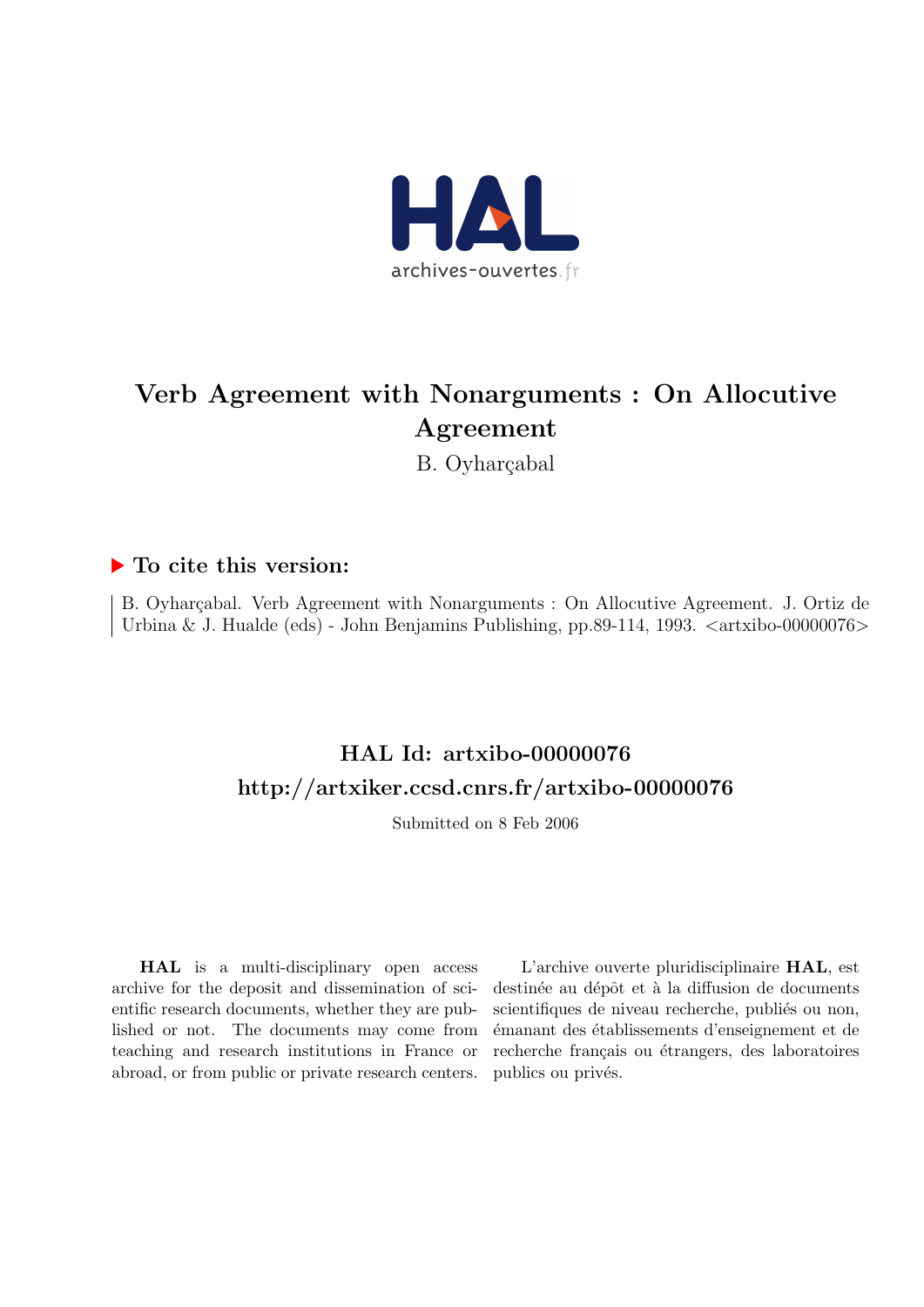

# Verb Agreement with Nonarguments : On Allocutive Agreement

B. Oyharçabal

# ▶ To cite this version:

B. Oyharçabal. Verb Agreement with Nonarguments : On Allocutive Agreement. J. Ortiz de Urbina & J. Hualde (eds) - John Benjamins Publishing, pp.89-114, 1993.  $\langle$ artxibo-00000076 $\rangle$ 

# HAL Id: artxibo-00000076 <http://artxiker.ccsd.cnrs.fr/artxibo-00000076>

Submitted on 8 Feb 2006

HAL is a multi-disciplinary open access archive for the deposit and dissemination of scientific research documents, whether they are published or not. The documents may come from teaching and research institutions in France or abroad, or from public or private research centers.

L'archive ouverte pluridisciplinaire HAL, est destinée au dépôt et à la diffusion de documents scientifiques de niveau recherche, publiés ou non, ´emanant des ´etablissements d'enseignement et de recherche français ou étrangers, des laboratoires publics ou privés.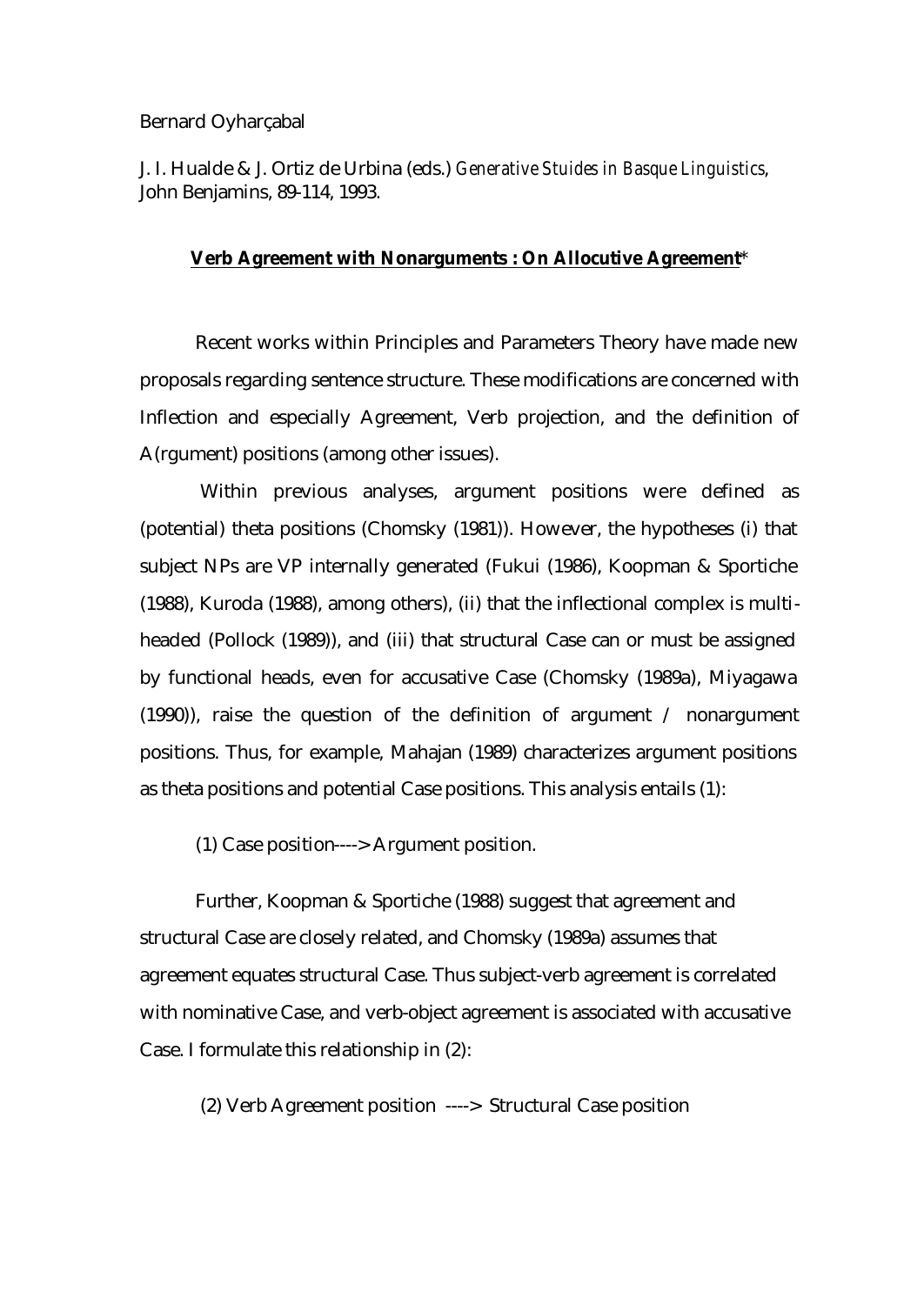## Bernard Oyharçabal

J. I. Hualde & J. Ortiz de Urbina (eds.) *Generative Stuides in Basque Linguistics*, John Benjamins, 89-114, 1993.

## **Verb Agreement with Nonarguments : On Allocutive Agreement**\*

Recent works within Principles and Parameters Theory have made new proposals regarding sentence structure. These modifications are concerned with Inflection and especially Agreement, Verb projection, and the definition of A(rgument) positions (among other issues).

 Within previous analyses, argument positions were defined as (potential) theta positions (Chomsky (1981)). However, the hypotheses (i) that subject NPs are VP internally generated (Fukui (1986), Koopman & Sportiche (1988), Kuroda (1988), among others), (ii) that the inflectional complex is multiheaded (Pollock (1989)), and (iii) that structural Case can or must be assigned by functional heads, even for accusative Case (Chomsky (1989a), Miyagawa (1990)), raise the question of the definition of argument / nonargument positions. Thus, for example, Mahajan (1989) characterizes argument positions as theta positions and potential Case positions. This analysis entails (1):

(1) Case position----> Argument position.

Further, Koopman & Sportiche (1988) suggest that agreement and structural Case are closely related, and Chomsky (1989a) assumes that agreement equates structural Case. Thus subject-verb agreement is correlated with nominative Case, and verb-object agreement is associated with accusative Case. I formulate this relationship in (2):

(2) Verb Agreement position ----> Structural Case position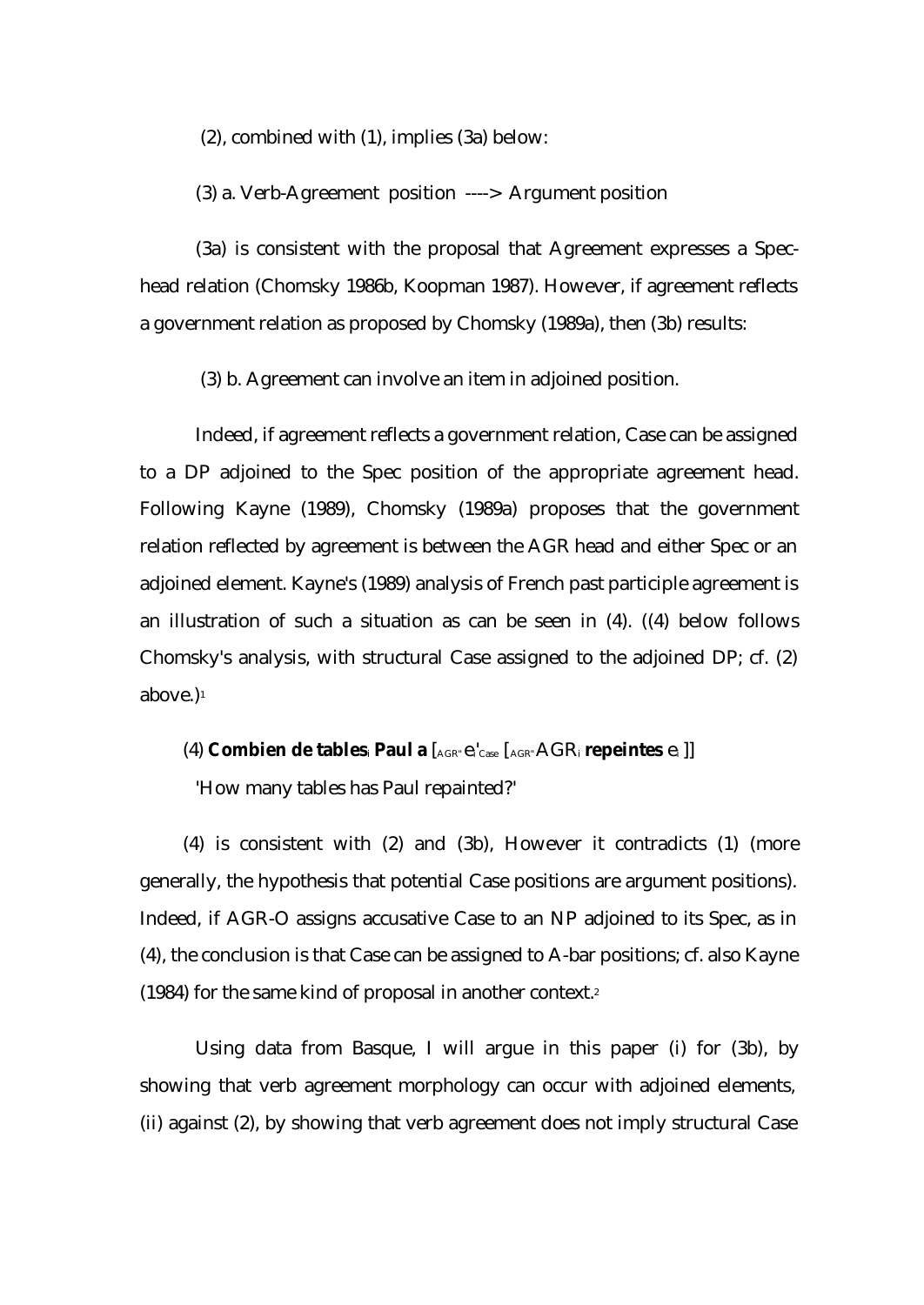(2), combined with (1), implies (3a) below:

(3) a. Verb-Agreement position ----> Argument position

(3a) is consistent with the proposal that Agreement expresses a Spechead relation (Chomsky 1986b, Koopman 1987). However, if agreement reflects a government relation as proposed by Chomsky (1989a), then (3b) results:

(3) b. Agreement can involve an item in adjoined position.

Indeed, if agreement reflects a government relation, Case can be assigned to a DP adjoined to the Spec position of the appropriate agreement head. Following Kayne (1989), Chomsky (1989a) proposes that the government relation reflected by agreement is between the AGR head and either Spec or an adjoined element. Kayne's (1989) analysis of French past participle agreement is an illustration of such a situation as can be seen in (4). ((4) below follows Chomsky's analysis, with structural Case assigned to the adjoined DP; cf. (2) above.)<sup>1</sup>

(4) **Combien de tables**i **Paul a** [AGR" ei'Case [AGR" AGR<sup>i</sup> **repeintes** ei ]]

'How many tables has Paul repainted?'

(4) is consistent with (2) and (3b), However it contradicts (1) (more generally, the hypothesis that potential Case positions are argument positions). Indeed, if AGR-O assigns accusative Case to an NP adjoined to its Spec, as in (4), the conclusion is that Case can be assigned to A-bar positions; cf. also Kayne (1984) for the same kind of proposal in another context.<sup>2</sup>

Using data from Basque, I will argue in this paper (i) for (3b), by showing that verb agreement morphology can occur with adjoined elements, (ii) against (2), by showing that verb agreement does not imply structural Case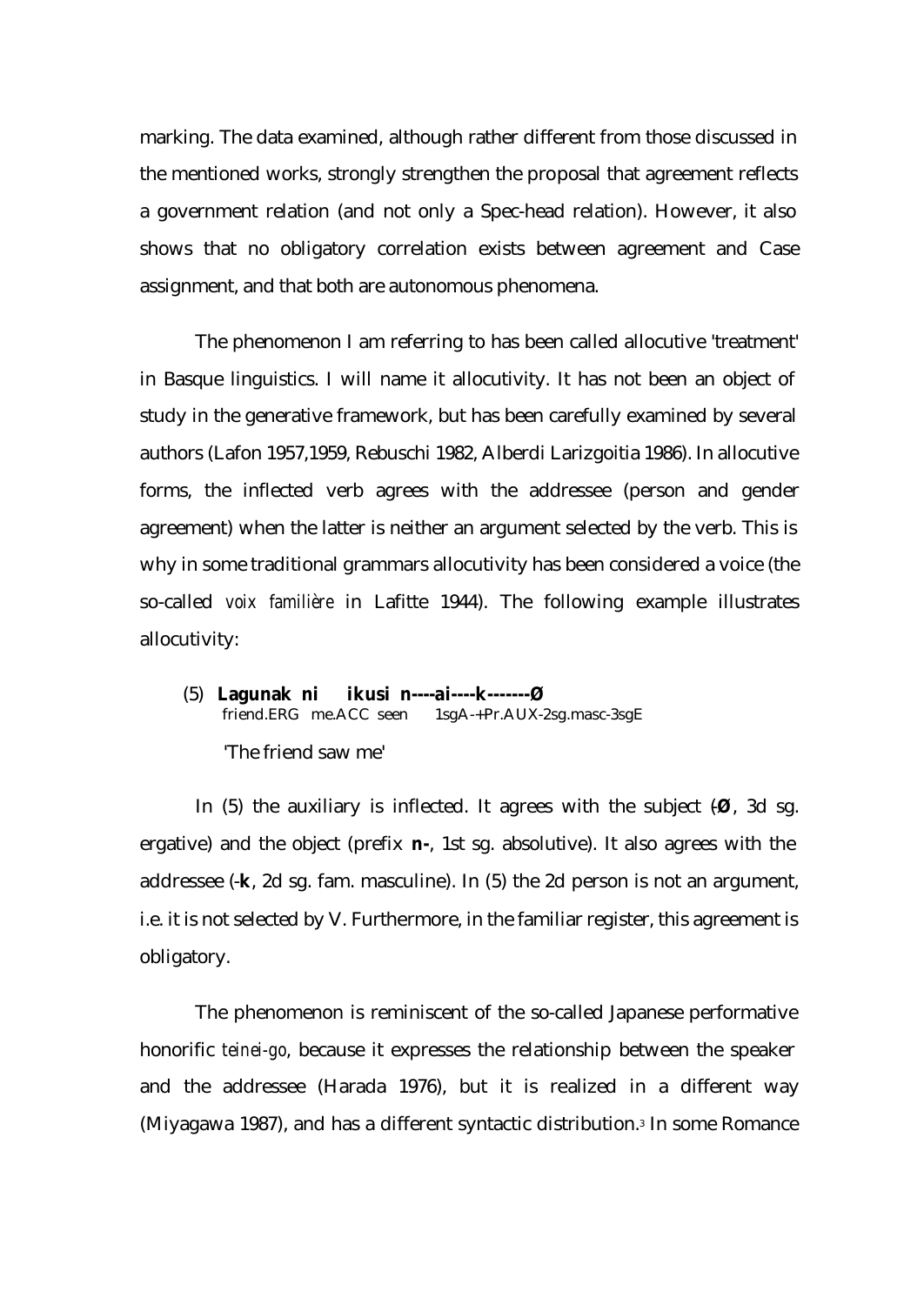marking. The data examined, although rather different from those discussed in the mentioned works, strongly strengthen the proposal that agreement reflects a government relation (and not only a Spec-head relation). However, it also shows that no obligatory correlation exists between agreement and Case assignment, and that both are autonomous phenomena.

The phenomenon I am referring to has been called allocutive 'treatment' in Basque linguistics. I will name it allocutivity. It has not been an object of study in the generative framework, but has been carefully examined by several authors (Lafon 1957,1959, Rebuschi 1982, Alberdi Larizgoitia 1986). In allocutive forms, the inflected verb agrees with the addressee (person and gender agreement) when the latter is neither an argument selected by the verb. This is why in some traditional grammars allocutivity has been considered a voice (the so-called *voix familière* in Lafitte 1944). The following example illustrates allocutivity:

(5) **Lagunak ni ikusi n----ai----k-------Ø**  friend.ERG me.ACC seen 1sgA-+Pr.AUX-2sg.masc-3sgE 'The friend saw me'

In (5) the auxiliary is inflected. It agrees with the subject  $(\emptyset, 3d \text{ sg.})$ ergative) and the object (prefix **n-**, 1st sg. absolutive). It also agrees with the addressee (-**k**, 2d sg. fam. masculine). In (5) the 2d person is not an argument, i.e. it is not selected by V. Furthermore, in the familiar register, this agreement is obligatory.

The phenomenon is reminiscent of the so-called Japanese performative honorific *teinei-go*, because it expresses the relationship between the speaker and the addressee (Harada 1976), but it is realized in a different way (Miyagawa 1987), and has a different syntactic distribution.3 In some Romance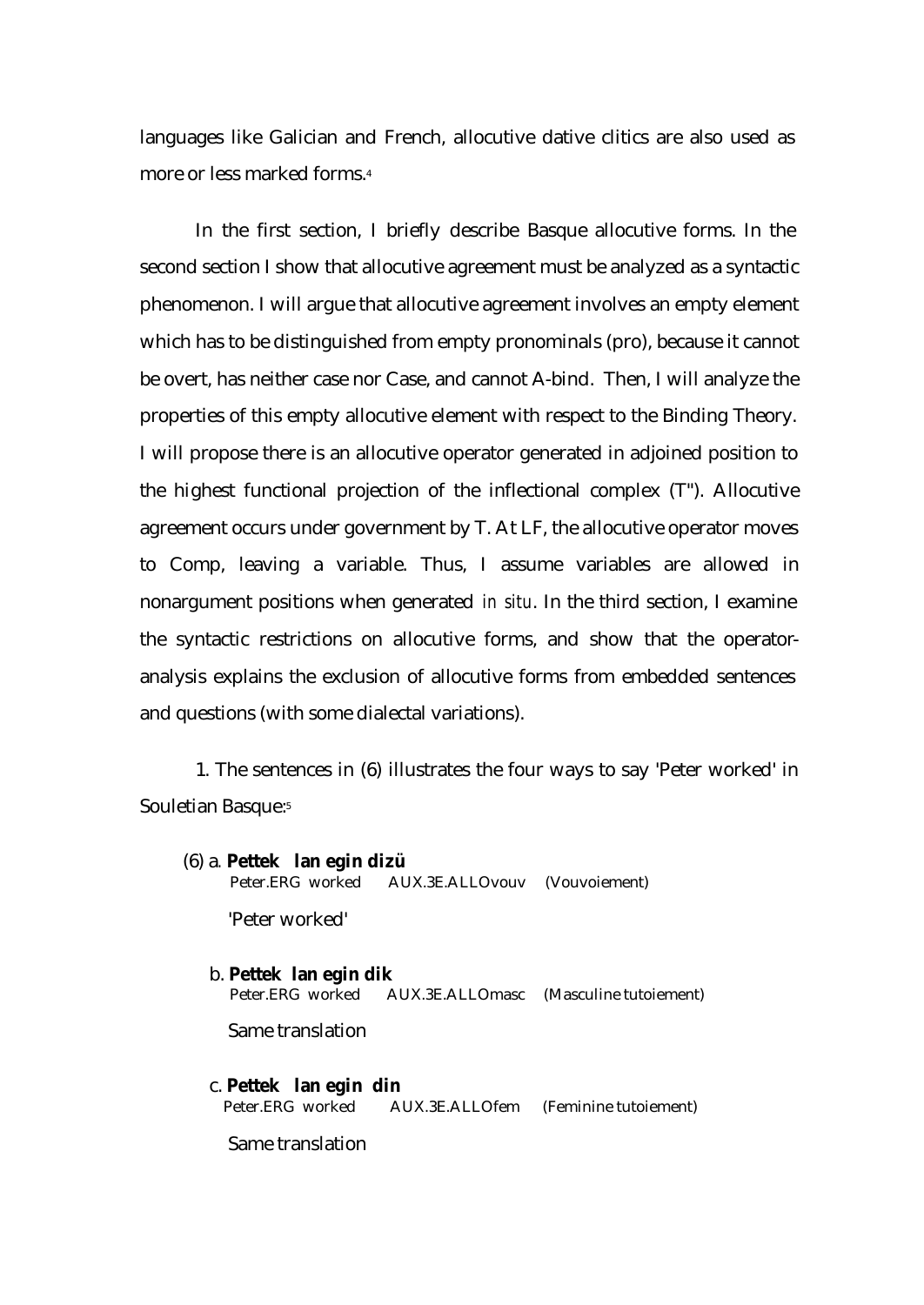languages like Galician and French, allocutive dative clitics are also used as more or less marked forms.<sup>4</sup>

In the first section, I briefly describe Basque allocutive forms. In the second section I show that allocutive agreement must be analyzed as a syntactic phenomenon. I will argue that allocutive agreement involves an empty element which has to be distinguished from empty pronominals (pro), because it cannot be overt, has neither case nor Case, and cannot A-bind. Then, I will analyze the properties of this empty allocutive element with respect to the Binding Theory. I will propose there is an allocutive operator generated in adjoined position to the highest functional projection of the inflectional complex (T"). Allocutive agreement occurs under government by T. At LF, the allocutive operator moves to Comp, leaving a variable. Thus, I assume variables are allowed in nonargument positions when generated *in situ*. In the third section, I examine the syntactic restrictions on allocutive forms, and show that the operatoranalysis explains the exclusion of allocutive forms from embedded sentences and questions (with some dialectal variations).

1. The sentences in (6) illustrates the four ways to say 'Peter worked' in Souletian Basque:<sup>5</sup>

- (6) a*.* **Pettek lan egin dizü** Peter.ERG worked AUX.3E.ALLOvouv (Vouvoiement) 'Peter worked'
	- b. **Pettek lan egin dik** AUX.3E.ALLOmasc (Masculine tutoiement) Same translation
	- c. **Pettek lan egin din**  Peter.ERG worked AUX.3E.ALLOfem (Feminine tutoiement)

Same translation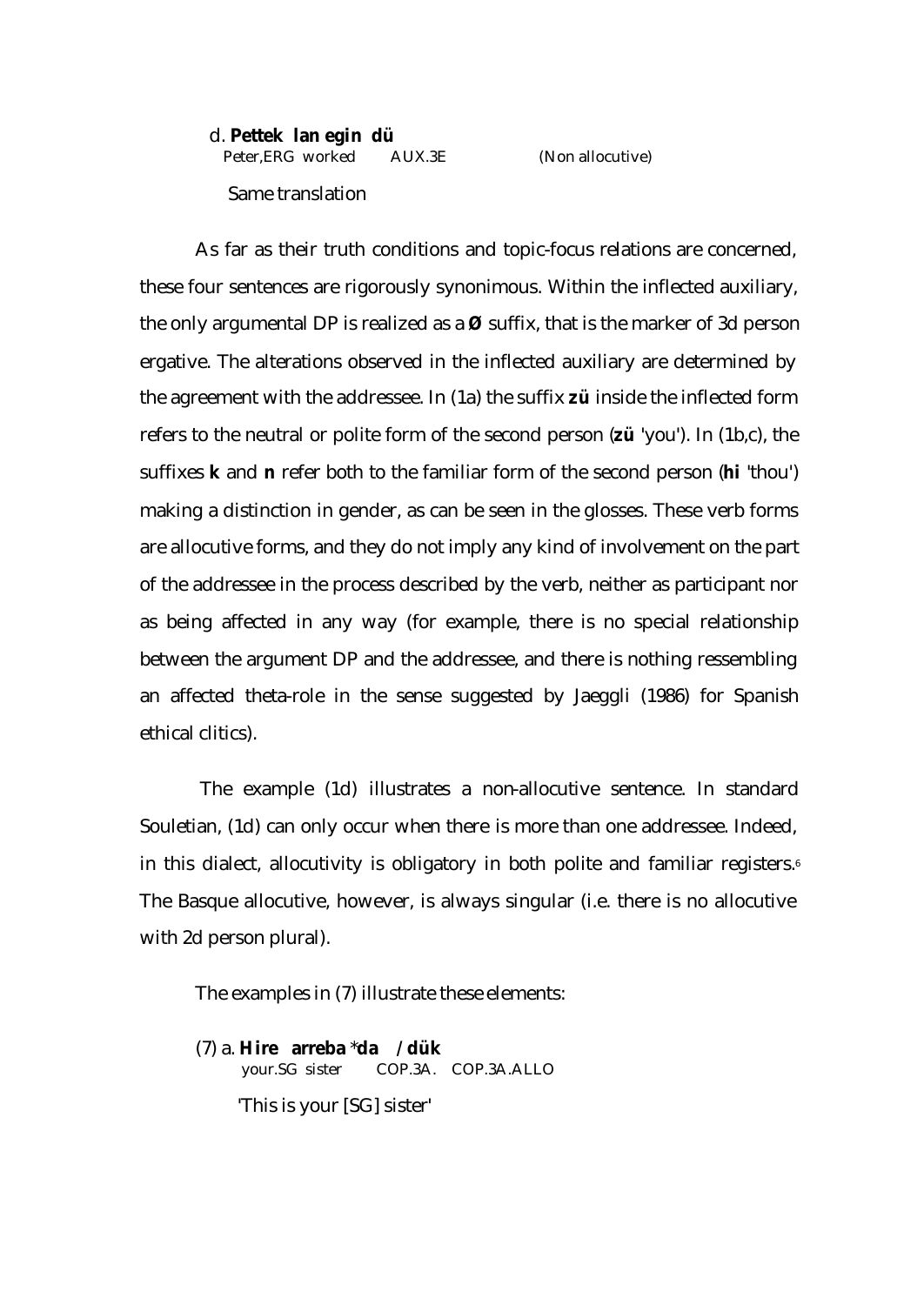d. **Pettek lan egin dü** Peter,ERG worked AUX.3E (Non allocutive) Same translation

As far as their truth conditions and topic-focus relations are concerned, these four sentences are rigorously synonimous. Within the inflected auxiliary, the only argumental DP is realized as a **Ø** suffix, that is the marker of 3d person ergative. The alterations observed in the inflected auxiliary are determined by the agreement with the addressee. In (1a) the suffix **zü** inside the inflected form refers to the neutral or polite form of the second person (**zü** 'you'). In (1b,c), the suffixes **k** and **n** refer both to the familiar form of the second person (**hi** 'thou') making a distinction in gender, as can be seen in the glosses. These verb forms are allocutive forms, and they do not imply any kind of involvement on the part of the addressee in the process described by the verb, neither as participant nor as being affected in any way (for example, there is no special relationship between the argument DP and the addressee, and there is nothing ressembling an affected theta-role in the sense suggested by Jaeggli (1986) for Spanish ethical clitics).

 The example (1d) illustrates a non-allocutive sentence. In standard Souletian, (1d) can only occur when there is more than one addressee. Indeed, in this dialect, allocutivity is obligatory in both polite and familiar registers.<sup>6</sup> The Basque allocutive, however, is always singular (i.e. there is no allocutive with 2d person plural).

The examples in (7) illustrate these elements:

(7) a. **Hire arreba** \***da / dük** your.SG sister COP.3A. COP.3A.ALLO 'This is your [SG] sister'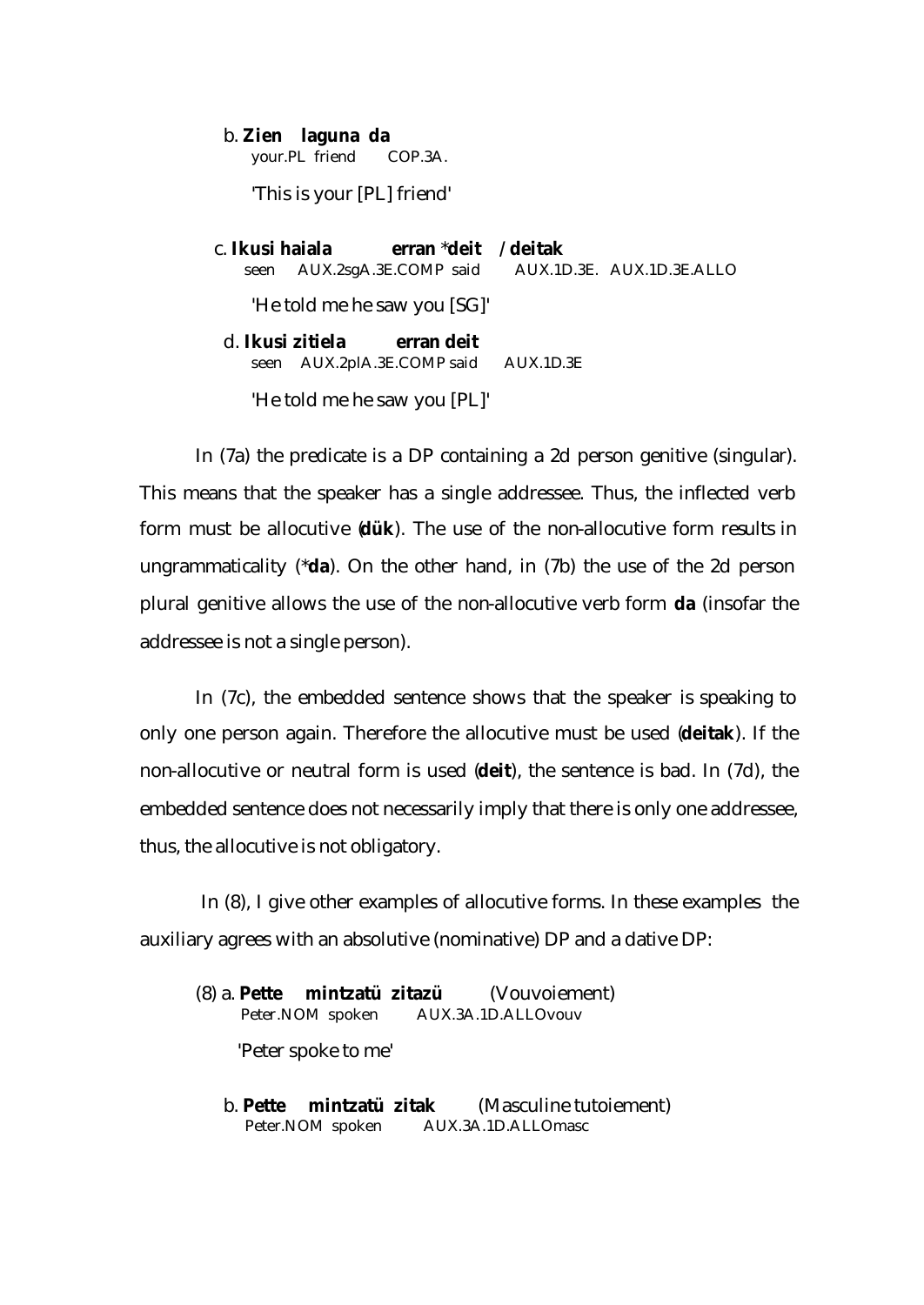## b. **Zien laguna da** your.PL friend COP.3A.

'This is your [PL] friend'

|      | c. Ikusi haiala erran *deit / deitak            |  |
|------|-------------------------------------------------|--|
| seen | AUX.2sgA.3E.COMP said AUX.1D.3E. AUX.1D.3E.ALLO |  |
|      | 'He told me he saw you [SG]'                    |  |
|      | d. <b>Ikusi zitiela</b> erran deit              |  |
|      | seen AUX.2plA.3E.COMP said AUX.1D.3E            |  |
|      | 'He told me he saw you [PL]'                    |  |

In (7a) the predicate is a DP containing a 2d person genitive (singular). This means that the speaker has a single addressee. Thus, the inflected verb form must be allocutive (**dük**). The use of the non-allocutive form results in ungrammaticality (\***da**). On the other hand, in (7b) the use of the 2d person plural genitive allows the use of the non-allocutive verb form **da** (insofar the addressee is not a single person).

In (7c), the embedded sentence shows that the speaker is speaking to only one person again. Therefore the allocutive must be used (**deitak**). If the non-allocutive or neutral form is used (**deit**), the sentence is bad. In (7d), the embedded sentence does not necessarily imply that there is only one addressee, thus, the allocutive is not obligatory.

 In (8), I give other examples of allocutive forms. In these examples the auxiliary agrees with an absolutive (nominative) DP and a dative DP:

(8) a. **Pette mintzatü zitazü** (Vouvoiement) Peter.NOM spoken AUX.3A.1D.ALLOvouv

'Peter spoke to me'

 b. **Pette mintzatü zitak** (Masculine tutoiement) Peter.NOM spoken AUX.3A.1D.ALLOmasc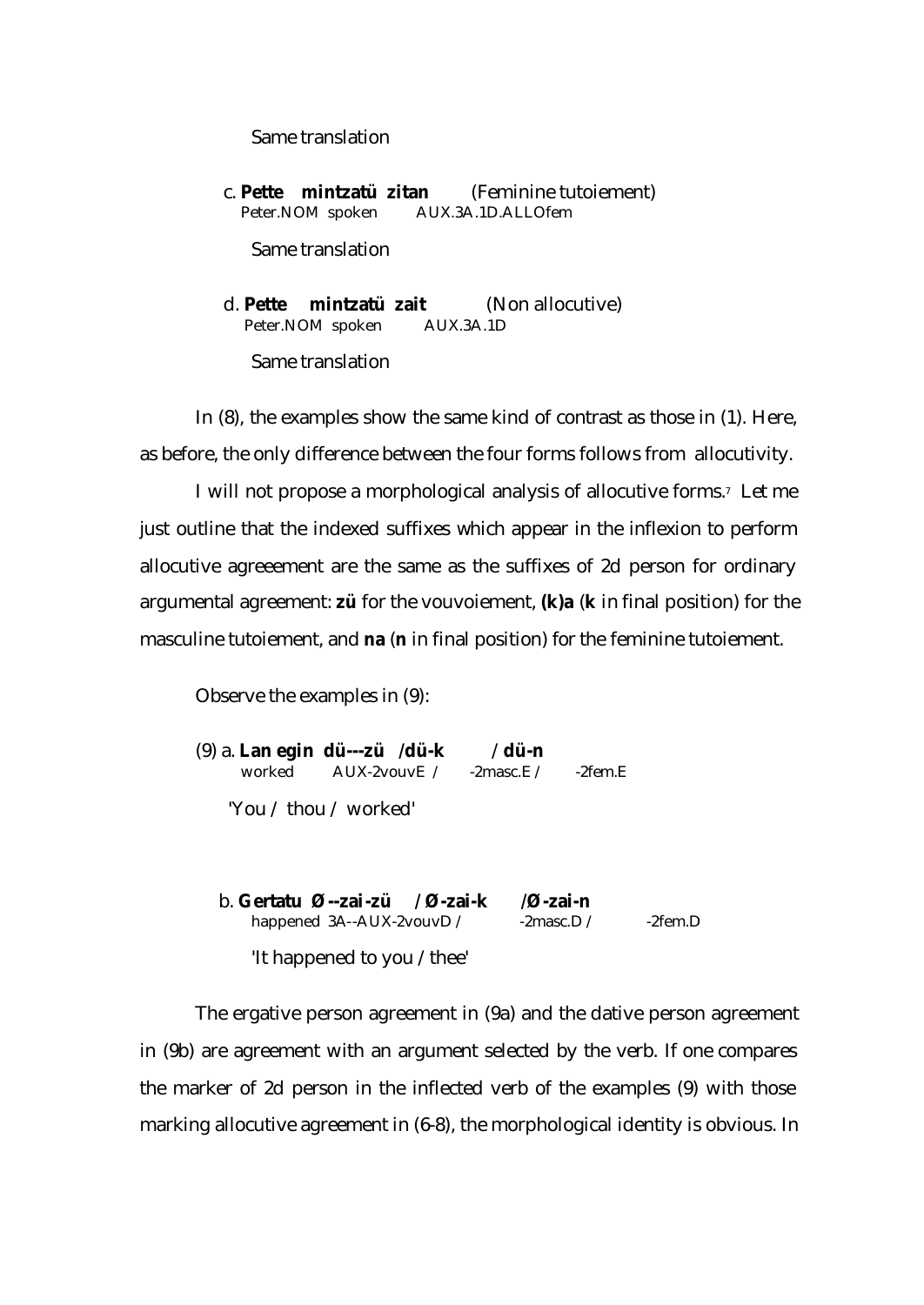## Same translation

 c. **Pette mintzatü zitan** (Feminine tutoiement) Peter.NOM spoken AUX.3A.1D.ALLOfem

Same translation

 d. **Pette mintzatü zait** (Non allocutive) Peter.NOM spoken AUX.3A.1D Same translation

In (8), the examples show the same kind of contrast as those in (1). Here, as before, the only difference between the four forms follows from allocutivity.

I will not propose a morphological analysis of allocutive forms.7 Let me just outline that the indexed suffixes which appear in the inflexion to perform allocutive agreeement are the same as the suffixes of 2d person for ordinary argumental agreement: **zü** for the vouvoiement, **(k)a** (**k** in final position) for the masculine tutoiement, and **na** (**n** in final position) for the feminine tutoiement.

Observe the examples in (9):

(9) a. **Lan egin dü---zü /dü-k** /**dü-n** worked AUX-2vouvE / -2masc.E / -2fem.E 'You / thou / worked'

b. **Gertatu Ø--zai-zü / Ø-zai-k /Ø-zai-n** happened 3A--AUX-2vouvD / -2masc.D / -2fem.D 'It happened to you /thee'

The ergative person agreement in (9a) and the dative person agreement in (9b) are agreement with an argument selected by the verb. If one compares the marker of 2d person in the inflected verb of the examples (9) with those marking allocutive agreement in (6-8), the morphological identity is obvious. In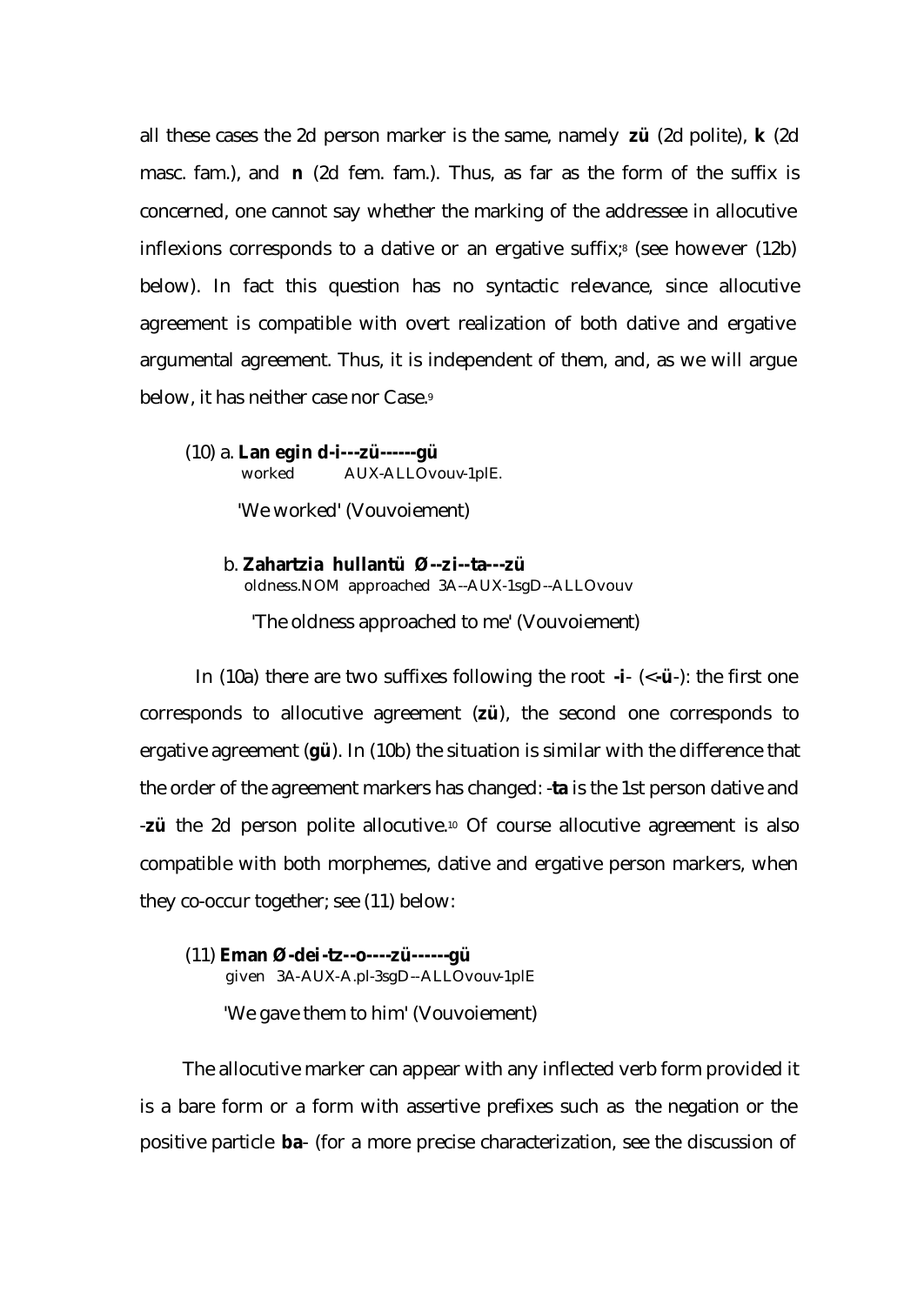all these cases the 2d person marker is the same, namely **zü** (2d polite), **k** (2d masc. fam.), and **n** (2d fem. fam.). Thus, as far as the form of the suffix is concerned, one cannot say whether the marking of the addressee in allocutive inflexions corresponds to a dative or an ergative suffix;<sup>8</sup> (see however  $(12b)$ ) below). In fact this question has no syntactic relevance, since allocutive agreement is compatible with overt realization of both dative and ergative argumental agreement. Thus, it is independent of them, and, as we will argue below, it has neither case nor Case.<sup>9</sup>

(10) a. **Lan egin d-i---zü------gü** worked AUX-ALLOvouv-1plE.

'We worked' (Vouvoiement)

 b. **Zahartzia hullantü Ø--zi--ta---zü** oldness.NOM approached 3A--AUX-1sgD--ALLOvouv

'The oldness approached to me' (Vouvoiement)

In (10a) there are two suffixes following the root **-i**- (<**-ü**-): the first one corresponds to allocutive agreement (**zü**), the second one corresponds to ergative agreement (**gü**). In (10b) the situation is similar with the difference that the order of the agreement markers has changed: -**ta** is the 1st person dative and -**zü** the 2d person polite allocutive.10 Of course allocutive agreement is also compatible with both morphemes, dative and ergative person markers, when they co-occur together; see (11) below:

(11) **Eman Ø-dei-tz--o----zü------gü** given 3A-AUX-A.pl-3sgD--ALLOvouv-1plE 'We gave them to him' (Vouvoiement)

The allocutive marker can appear with any inflected verb form provided it is a bare form or a form with assertive prefixes such as the negation or the positive particle **ba**- (for a more precise characterization, see the discussion of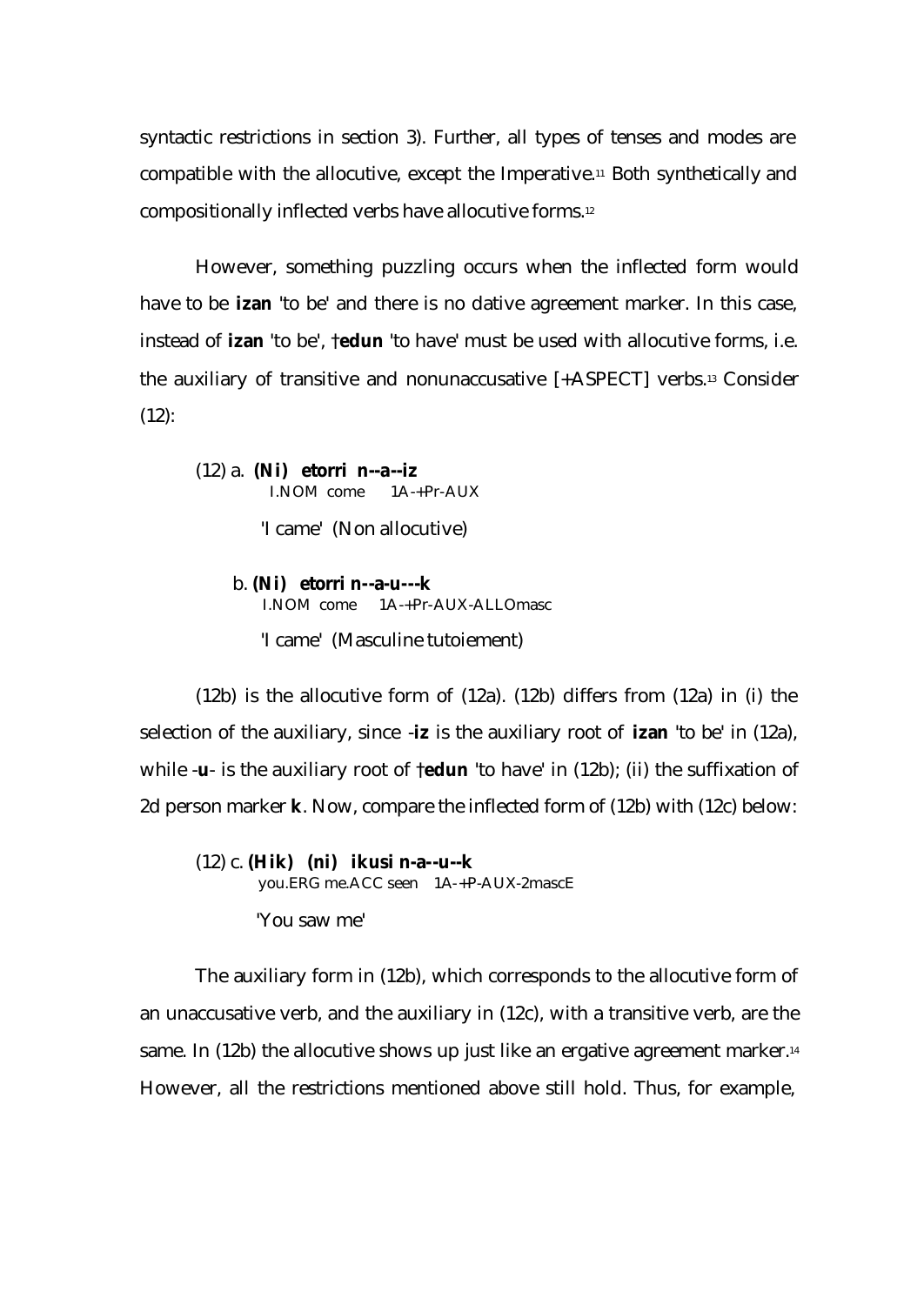syntactic restrictions in section 3). Further, all types of tenses and modes are compatible with the allocutive, except the Imperative.11 Both synthetically and compositionally inflected verbs have allocutive forms.<sup>12</sup>

However, something puzzling occurs when the inflected form would have to be **izan** 'to be' and there is no dative agreement marker. In this case, instead of **izan** 'to be', †**edun** 'to have' must be used with allocutive forms, i.e. the auxiliary of transitive and nonunaccusative [+ASPECT] verbs.13 Consider  $(12)$ :

(12) a. **(Ni) etorri n--a--iz** I.NOM come 1A-+Pr-AUX

'I came' (Non allocutive)

 b. **(Ni) etorri n--a-u---k** I.NOM come 1A-+Pr-AUX-ALLOmasc 'I came' (Masculine tutoiement)

(12b) is the allocutive form of (12a). (12b) differs from (12a) in (i) the selection of the auxiliary, since -**iz** is the auxiliary root of **izan** 'to be' in (12a), while -**u**- is the auxiliary root of †**edun** 'to have' in (12b); (ii) the suffixation of 2d person marker **k**. Now, compare the inflected form of (12b) with (12c) below:

(12) c. **(Hik) (ni) ikusi n-a--u--k** you.ERG me.ACC seen 1A-+P-AUX-2mascE 'You saw me'

The auxiliary form in (12b), which corresponds to the allocutive form of an unaccusative verb, and the auxiliary in (12c), with a transitive verb, are the same. In (12b) the allocutive shows up just like an ergative agreement marker.<sup>14</sup> However, all the restrictions mentioned above still hold. Thus, for example,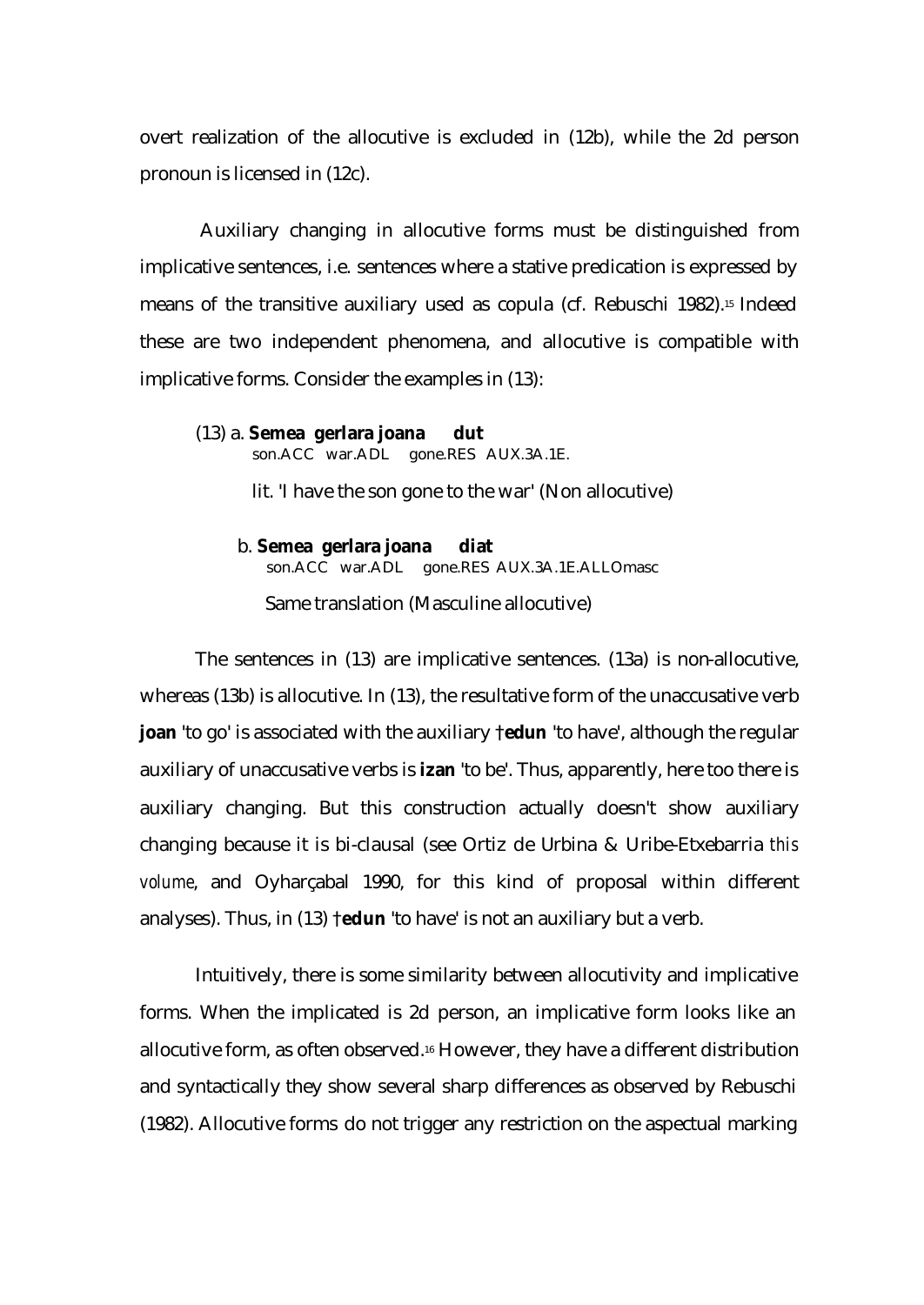overt realization of the allocutive is excluded in (12b), while the 2d person pronoun is licensed in (12c).

 Auxiliary changing in allocutive forms must be distinguished from implicative sentences, i.e. sentences where a stative predication is expressed by means of the transitive auxiliary used as copula (cf. Rebuschi 1982).15 Indeed these are two independent phenomena, and allocutive is compatible with implicative forms. Consider the examples in (13):

### (13) a. **Semea gerlara joana dut**

son.ACC war.ADL gone.RES AUX.3A.1E.

lit. 'I have the son gone to the war' (Non allocutive)

 b. **Semea gerlara joana diat** son.ACC war.ADL gone.RES AUX.3A.1E.ALLOmasc Same translation (Masculine allocutive)

The sentences in (13) are implicative sentences. (13a) is non-allocutive, whereas (13b) is allocutive. In (13), the resultative form of the unaccusative verb **joan** 'to go' is associated with the auxiliary †**edun** 'to have', although the regular auxiliary of unaccusative verbs is **izan** 'to be'. Thus, apparently, here too there is auxiliary changing. But this construction actually doesn't show auxiliary changing because it is bi-clausal (see Ortiz de Urbina & Uribe-Etxebarria *this volume*, and Oyharçabal 1990, for this kind of proposal within different analyses). Thus, in (13) †**edun** 'to have' is not an auxiliary but a verb.

Intuitively, there is some similarity between allocutivity and implicative forms. When the implicated is 2d person, an implicative form looks like an allocutive form, as often observed.16 However, they have a different distribution and syntactically they show several sharp differences as observed by Rebuschi (1982). Allocutive forms do not trigger any restriction on the aspectual marking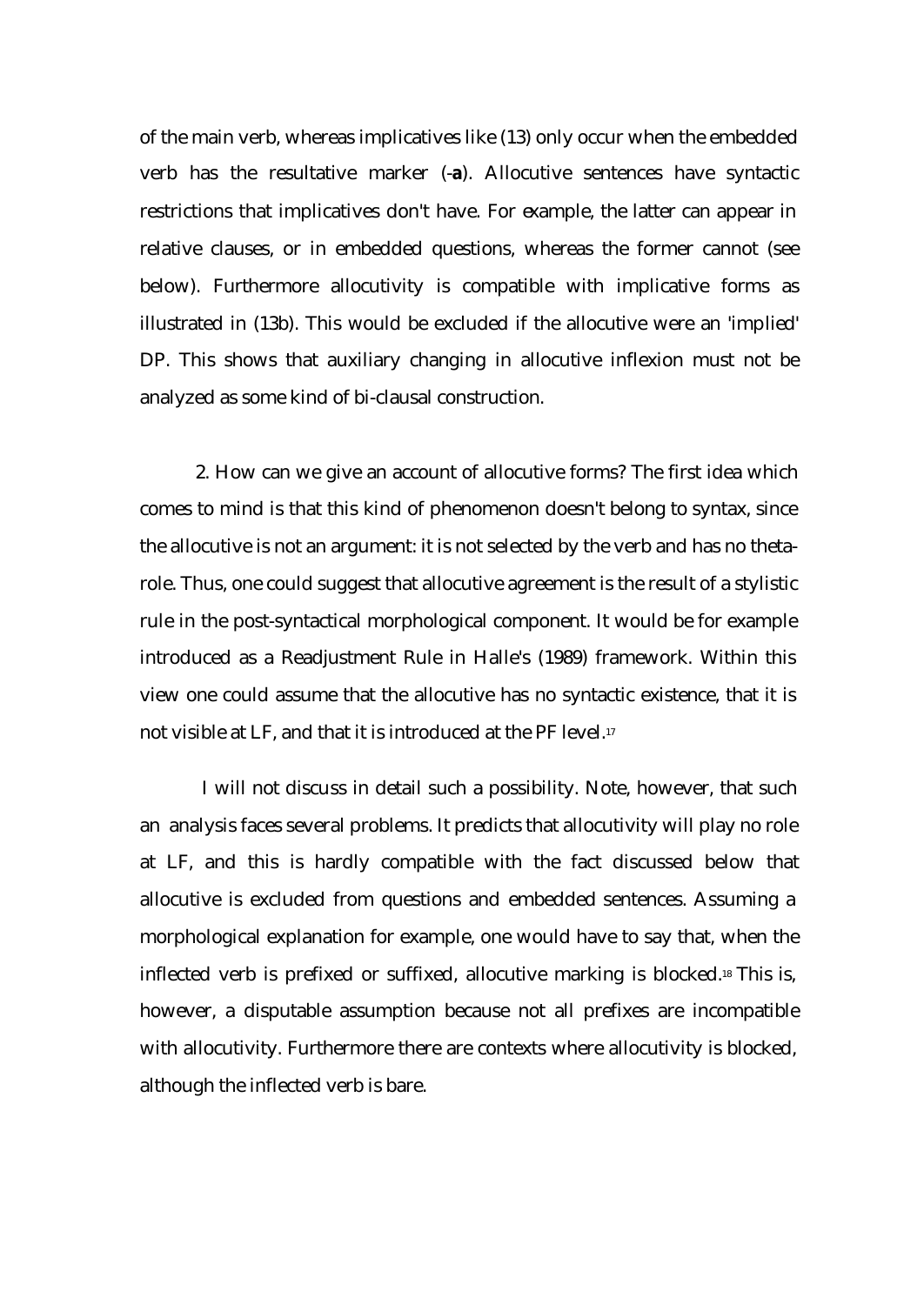of the main verb, whereas implicatives like (13) only occur when the embedded verb has the resultative marker (-**a**). Allocutive sentences have syntactic restrictions that implicatives don't have. For example, the latter can appear in relative clauses, or in embedded questions, whereas the former cannot (see below). Furthermore allocutivity is compatible with implicative forms as illustrated in (13b). This would be excluded if the allocutive were an 'implied' DP. This shows that auxiliary changing in allocutive inflexion must not be analyzed as some kind of bi-clausal construction.

2. How can we give an account of allocutive forms? The first idea which comes to mind is that this kind of phenomenon doesn't belong to syntax, since the allocutive is not an argument: it is not selected by the verb and has no thetarole. Thus, one could suggest that allocutive agreement is the result of a stylistic rule in the post-syntactical morphological component. It would be for example introduced as a Readjustment Rule in Halle's (1989) framework. Within this view one could assume that the allocutive has no syntactic existence, that it is not visible at LF, and that it is introduced at the PF level.<sup>17</sup>

 I will not discuss in detail such a possibility. Note, however, that such an analysis faces several problems. It predicts that allocutivity will play no role at LF, and this is hardly compatible with the fact discussed below that allocutive is excluded from questions and embedded sentences. Assuming a morphological explanation for example, one would have to say that, when the inflected verb is prefixed or suffixed, allocutive marking is blocked.18 This is, however, a disputable assumption because not all prefixes are incompatible with allocutivity. Furthermore there are contexts where allocutivity is blocked, although the inflected verb is bare.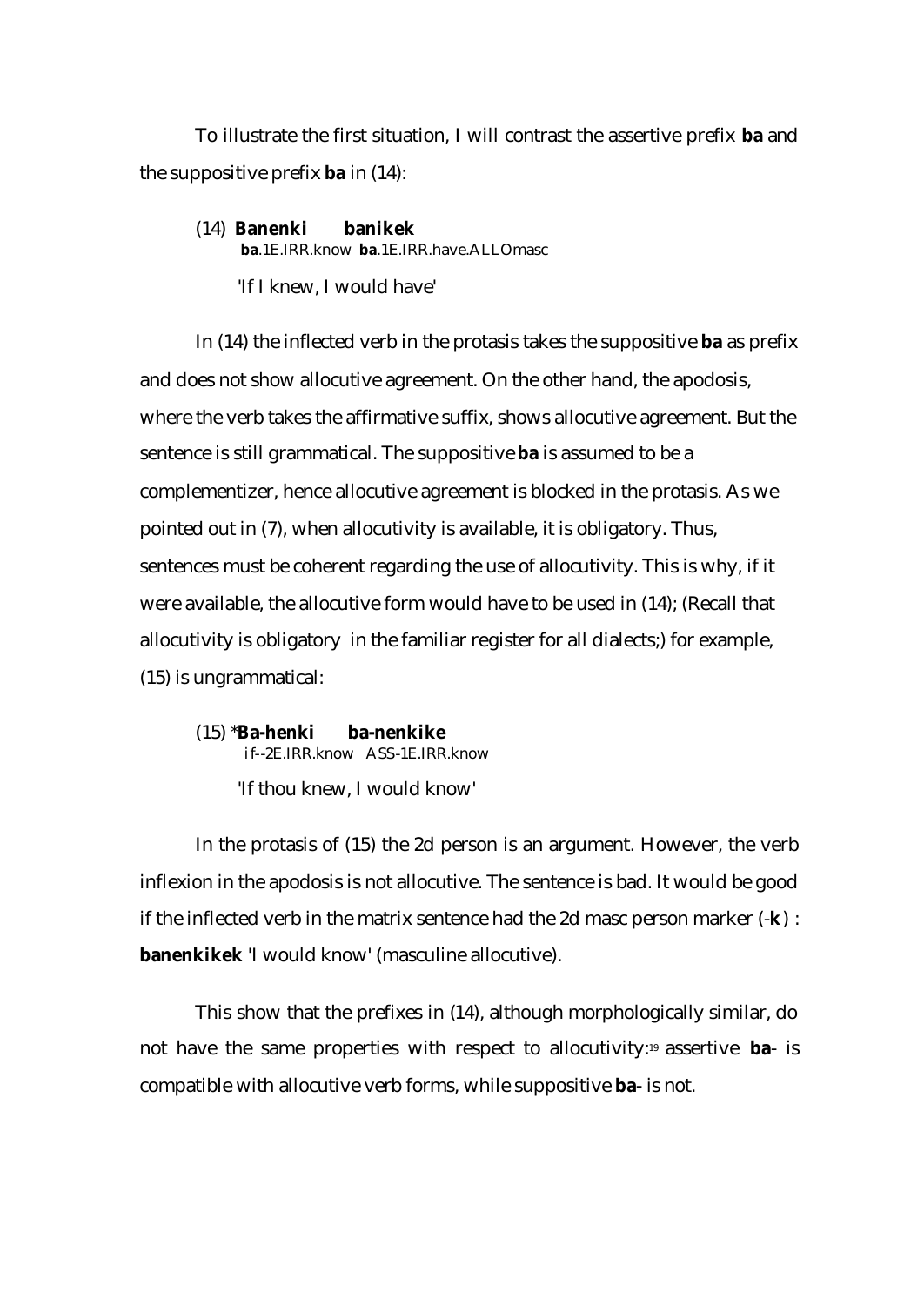To illustrate the first situation, I will contrast the assertive prefix **ba** and the suppositive prefix **ba** in (14):

(14) **Banenki banikek ba**.1E.IRR.know **ba**.1E.IRR.have.ALLOmasc 'If I knew, I would have'

In (14) the inflected verb in the protasis takes the suppositive **ba** as prefix and does not show allocutive agreement. On the other hand, the apodosis, where the verb takes the affirmative suffix, shows allocutive agreement. But the sentence is still grammatical. The suppositive **ba** is assumed to be a complementizer, hence allocutive agreement is blocked in the protasis. As we pointed out in (7), when allocutivity is available, it is obligatory. Thus, sentences must be coherent regarding the use of allocutivity. This is why, if it were available, the allocutive form would have to be used in (14); (Recall that allocutivity is obligatory in the familiar register for all dialects;) for example, (15) is ungrammatical:

(15) \***Ba-henki ba-nenkike**  if--2E.IRR.know ASS-1E.IRR.know 'If thou knew, I would know'

In the protasis of (15) the 2d person is an argument. However, the verb inflexion in the apodosis is not allocutive. The sentence is bad. It would be good if the inflected verb in the matrix sentence had the 2d masc person marker (-**k**) : **banenkikek** 'I would know' (masculine allocutive).

This show that the prefixes in (14), although morphologically similar, do not have the same properties with respect to allocutivity:19 assertive **ba**- is compatible with allocutive verb forms, while suppositive **ba**- is not.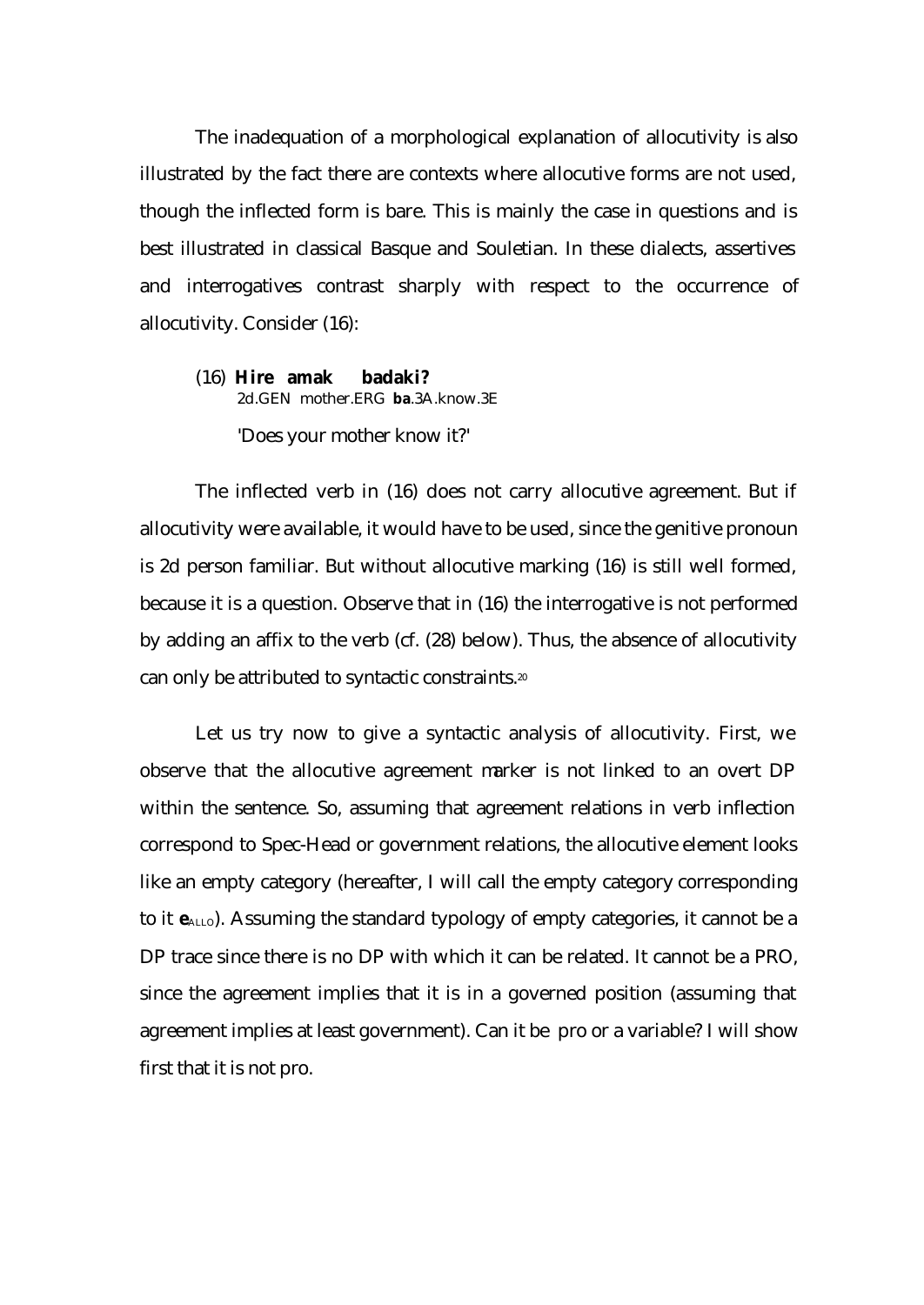The inadequation of a morphological explanation of allocutivity is also illustrated by the fact there are contexts where allocutive forms are not used, though the inflected form is bare. This is mainly the case in questions and is best illustrated in classical Basque and Souletian. In these dialects, assertives and interrogatives contrast sharply with respect to the occurrence of allocutivity. Consider (16):

# (16) **Hire amak badaki?** 2d.GEN mother.ERG **ba**.3A.know.3E 'Does your mother know it?'

The inflected verb in (16) does not carry allocutive agreement. But if allocutivity were available, it would have to be used, since the genitive pronoun is 2d person familiar. But without allocutive marking (16) is still well formed, because it is a question. Observe that in (16) the interrogative is not performed by adding an affix to the verb (cf. (28) below). Thus, the absence of allocutivity can only be attributed to syntactic constraints.<sup>20</sup>

Let us try now to give a syntactic analysis of allocutivity. First, we observe that the allocutive agreement marker is not linked to an overt DP within the sentence. So, assuming that agreement relations in verb inflection correspond to Spec-Head or government relations, the allocutive element looks like an empty category (hereafter, I will call the empty category corresponding to it  $e_{\text{ALLO}}$ ). Assuming the standard typology of empty categories, it cannot be a DP trace since there is no DP with which it can be related. It cannot be a PRO, since the agreement implies that it is in a governed position (assuming that agreement implies at least government). Can it be pro or a variable? I will show first that it is not pro.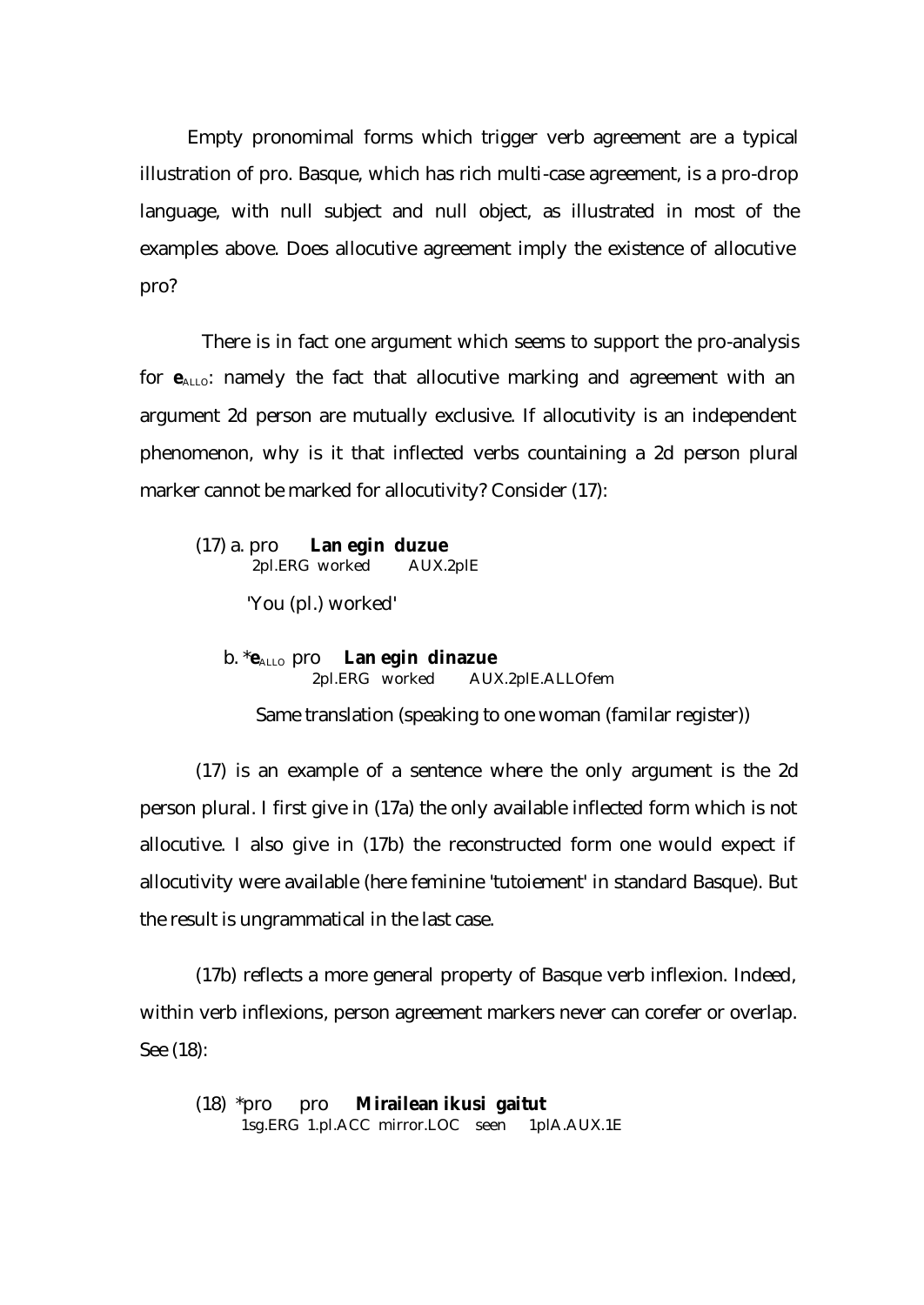Empty pronomimal forms which trigger verb agreement are a typical illustration of pro. Basque, which has rich multi-case agreement, is a pro-drop language, with null subject and null object, as illustrated in most of the examples above. Does allocutive agreement imply the existence of allocutive pro?

 There is in fact one argument which seems to support the pro-analysis for  $e_{\text{ALLO}}$ : namely the fact that allocutive marking and agreement with an argument 2d person are mutually exclusive. If allocutivity is an independent phenomenon, why is it that inflected verbs countaining a 2d person plural marker cannot be marked for allocutivity? Consider (17):

(17) a. pro **Lan egin duzue**  2pl.ERG worked AUX.2plE

'You (pl.) worked'

b. \***e**ALLO pro **Lan egin dinazue** 2pl.ERG worked AUX.2plE.ALLOfem

Same translation (speaking to one woman (familar register))

(17) is an example of a sentence where the only argument is the 2d person plural. I first give in (17a) the only available inflected form which is not allocutive. I also give in (17b) the reconstructed form one would expect if allocutivity were available (here feminine 'tutoiement' in standard Basque). But the result is ungrammatical in the last case.

(17b) reflects a more general property of Basque verb inflexion. Indeed, within verb inflexions, person agreement markers never can corefer or overlap. See (18):

(18) \*pro pro **Mirailean ikusi gaitut**  1sg.ERG 1.pl.ACC mirror.LOC seen 1plA.AUX.1E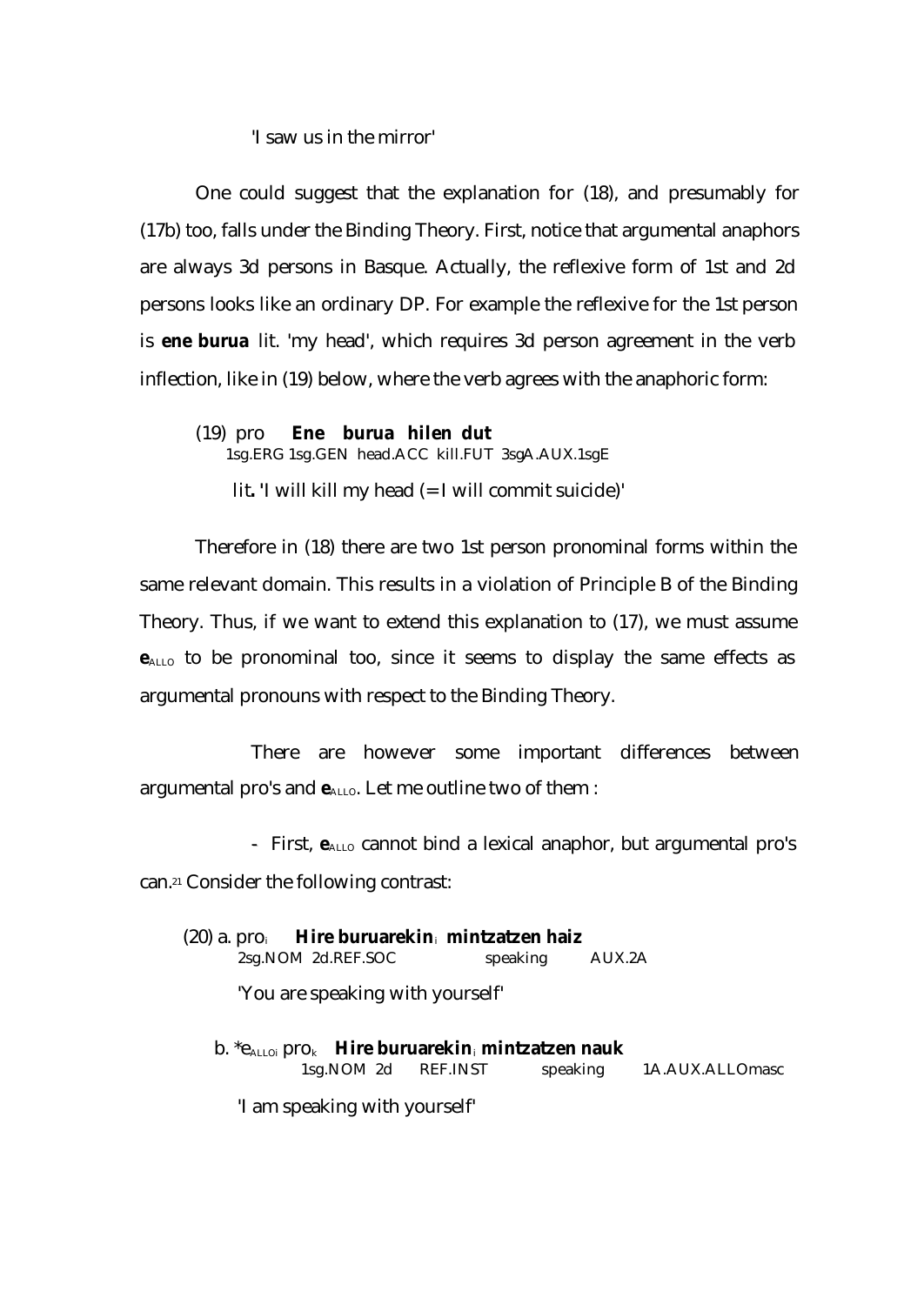## 'I saw us in the mirror'

One could suggest that the explanation for (18), and presumably for (17b) too, falls under the Binding Theory. First, notice that argumental anaphors are always 3d persons in Basque. Actually, the reflexive form of 1st and 2d persons looks like an ordinary DP. For example the reflexive for the 1st person is **ene burua** lit. 'my head', which requires 3d person agreement in the verb inflection, like in (19) below, where the verb agrees with the anaphoric form:

(19) pro **Ene burua hilen dut** 1sg.ERG 1sg.GEN head.ACC kill.FUT 3sgA.AUX.1sgE lit**. '**I will kill my head (= I will commit suicide)'

Therefore in (18) there are two 1st person pronominal forms within the same relevant domain. This results in a violation of Principle B of the Binding Theory. Thus, if we want to extend this explanation to (17), we must assume **e**ALLO to be pronominal too, since it seems to display the same effects as argumental pronouns with respect to the Binding Theory.

There are however some important differences between argumental pro's and  $e_{\text{ALLO}}$ . Let me outline two of them :

- First,  $e_{ALLO}$  cannot bind a lexical anaphor, but argumental pro's can.21 Consider the following contrast:

| $(20)$ a. $pro_i$ Hire buruarekin, mintzatzen haiz |                 |  |
|----------------------------------------------------|-----------------|--|
| 2sg.NOM 2d.REF.SOC                                 | speaking AUX.2A |  |
| 'You are speaking with yourself'                   |                 |  |

|                          | b. $*_{\mathsf{A}\text{L}\text{Loi}}$ pro $_k$ Hire buruarekin, mintzatzen nauk |  |                       |  |  |
|--------------------------|---------------------------------------------------------------------------------|--|-----------------------|--|--|
| speaking 1A.AUX.ALLOmasc |                                                                                 |  | 1sg. NOM 2d REF. INST |  |  |
|                          |                                                                                 |  |                       |  |  |

'I am speaking with yourself'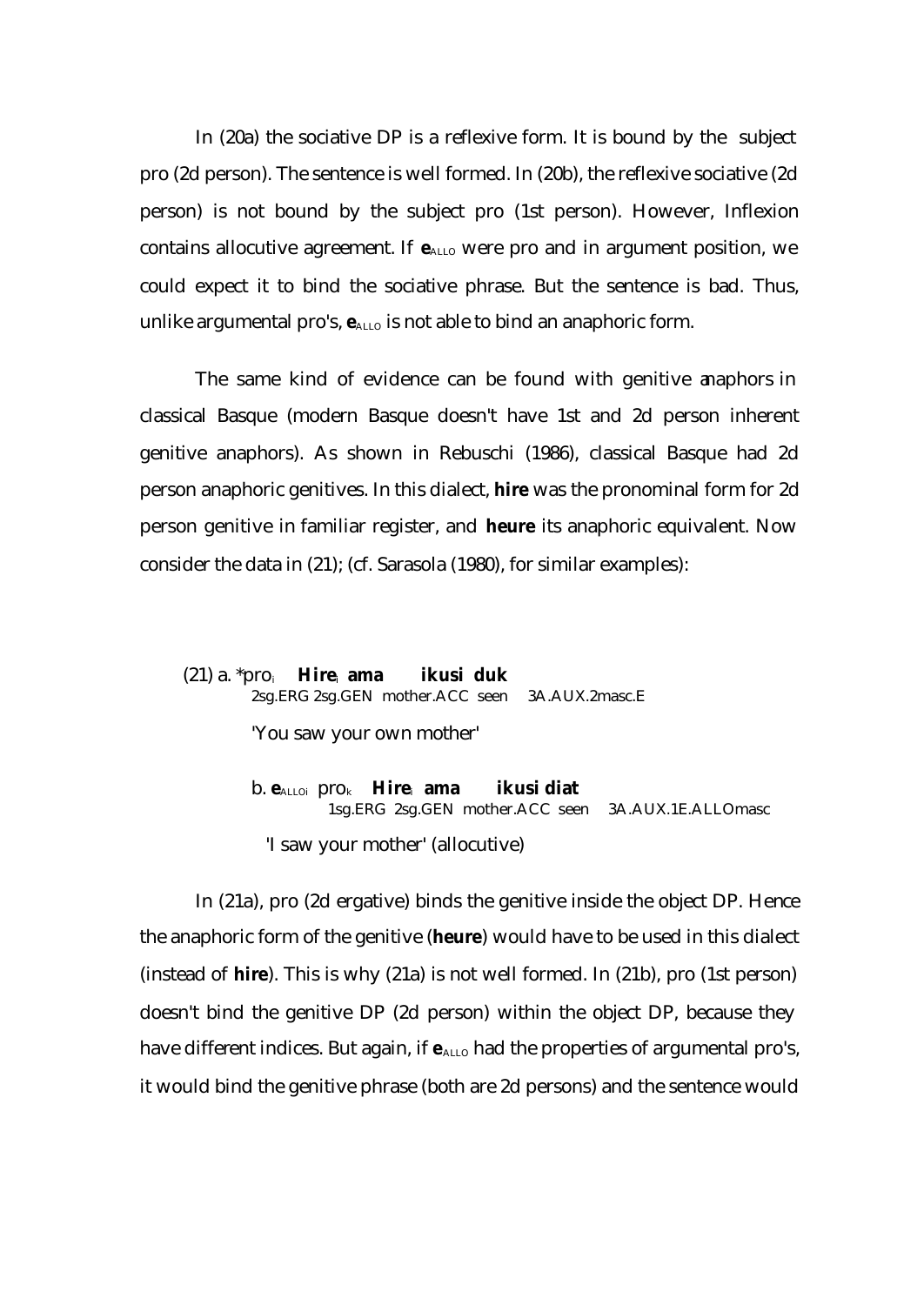In (20a) the sociative DP is a reflexive form. It is bound by the subject pro (2d person). The sentence is well formed. In (20b), the reflexive sociative (2d person) is not bound by the subject pro (1st person). However, Inflexion contains allocutive agreement. If  $e_{\text{ALLO}}$  were pro and in argument position, we could expect it to bind the sociative phrase. But the sentence is bad. Thus, unlike argumental pro's,  $e_{\text{ALLO}}$  is not able to bind an anaphoric form.

The same kind of evidence can be found with genitive anaphors in classical Basque (modern Basque doesn't have 1st and 2d person inherent genitive anaphors). As shown in Rebuschi (1986), classical Basque had 2d person anaphoric genitives. In this dialect, **hire** was the pronominal form for 2d person genitive in familiar register, and **heure** its anaphoric equivalent. Now consider the data in (21); (cf. Sarasola (1980), for similar examples):

# (21) a. \*pro<sup>i</sup> **Hire**i **ama ikusi duk** 2sg.ERG 2sg.GEN mother.ACC seen 3A.AUX.2masc.E

'You saw your own mother'

 b. **e**ALLOi prok **Hire**i **ama ikusi diat** 1sg.ERG 2sg.GEN mother.ACC seen 3A.AUX.1E.ALLOmasc

'I saw your mother' (allocutive)

In (21a), pro (2d ergative) binds the genitive inside the object DP. Hence the anaphoric form of the genitive (**heure**) would have to be used in this dialect (instead of **hire**). This is why (21a) is not well formed. In (21b), pro (1st person) doesn't bind the genitive DP (2d person) within the object DP, because they have different indices. But again, if  $e_{\text{ALLO}}$  had the properties of argumental pro's, it would bind the genitive phrase (both are 2d persons) and the sentence would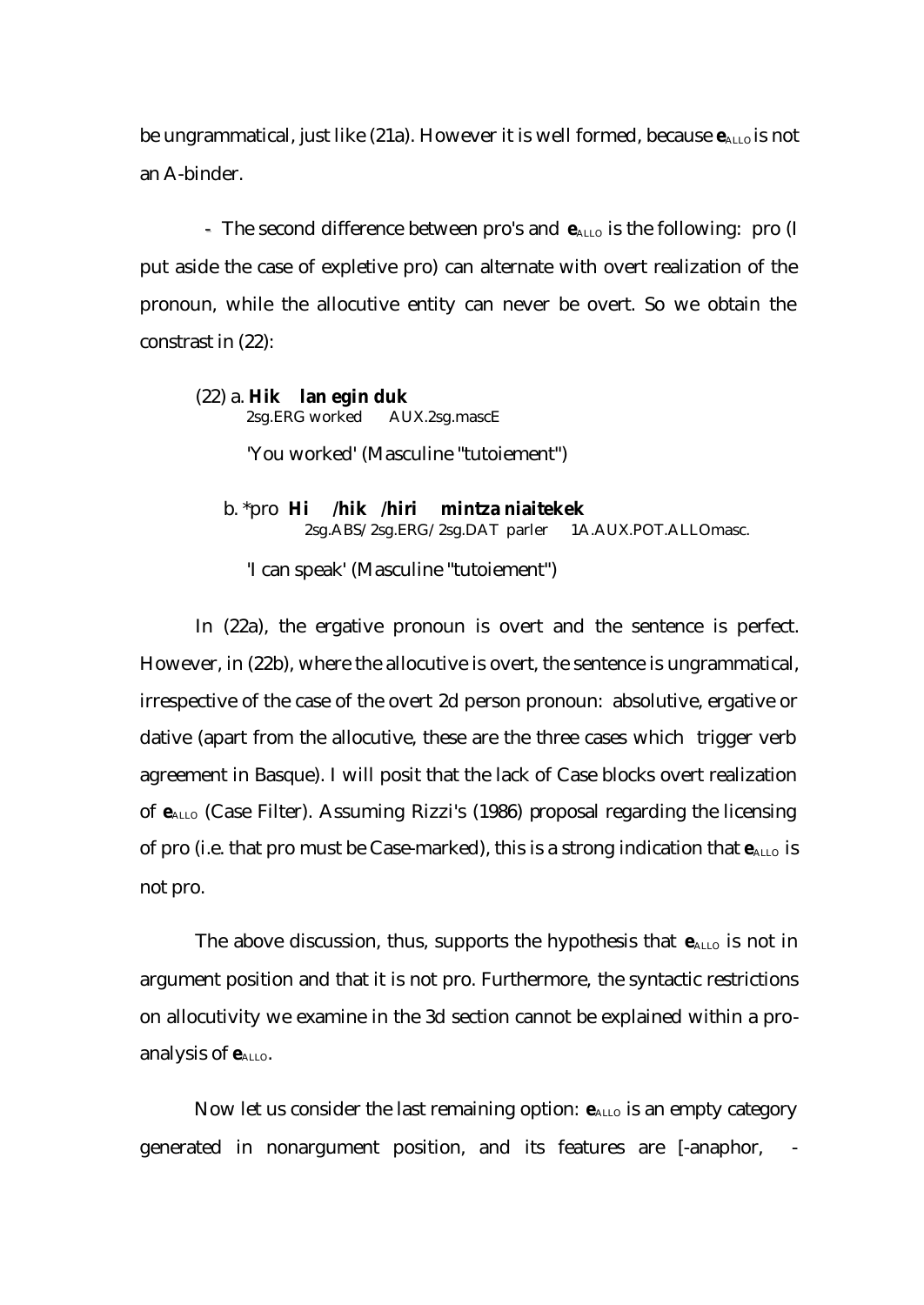be ungrammatical, just like (21a). However it is well formed, because  $e_{\text{ALLO}}$  is not an A-binder.

- The second difference between pro's and  $e_{\text{ALLO}}$  is the following: pro (I put aside the case of expletive pro) can alternate with overt realization of the pronoun, while the allocutive entity can never be overt. So we obtain the constrast in (22):

# (22) a. **Hik lan egin duk** 2sg.ERG worked AUX.2sg.mascE

'You worked' (Masculine "tutoiement")

 b. \*pro **Hi /hik /hiri mintza niaitekek** 2sg.ABS/2sg.ERG/2sg.DAT parler 1A.AUX.POT.ALLOmasc.

'I can speak' (Masculine "tutoiement")

In (22a), the ergative pronoun is overt and the sentence is perfect. However, in (22b), where the allocutive is overt, the sentence is ungrammatical, irrespective of the case of the overt 2d person pronoun: absolutive, ergative or dative (apart from the allocutive, these are the three cases which trigger verb agreement in Basque). I will posit that the lack of Case blocks overt realization of **e**ALLO (Case Filter). Assuming Rizzi's (1986) proposal regarding the licensing of pro (i.e. that pro must be Case-marked), this is a strong indication that  $e_{\text{ALLO}}$  is not pro.

The above discussion, thus, supports the hypothesis that  $e_{\text{ALLO}}$  is not in argument position and that it is not pro. Furthermore, the syntactic restrictions on allocutivity we examine in the 3d section cannot be explained within a proanalysis of  $e$ <sub>ALLO</sub>.

Now let us consider the last remaining option:  $e_{\text{ALLO}}$  is an empty category generated in nonargument position, and its features are [-anaphor, -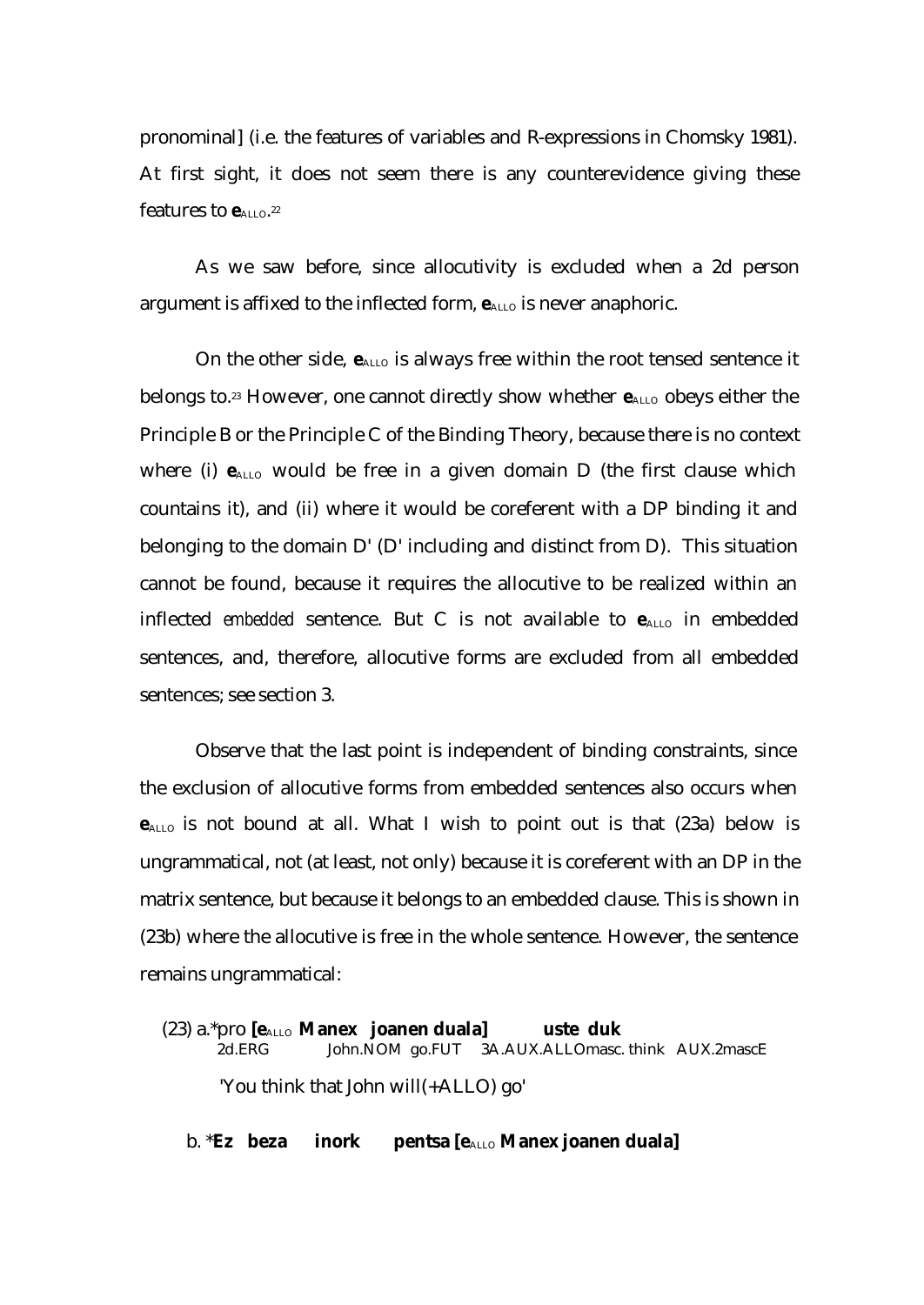pronominal] (i.e. the features of variables and R-expressions in Chomsky 1981). At first sight, it does not seem there is any counterevidence giving these features to  $\mathbf{e}_{\text{\tiny{ALLO}}}$ .<sup>22</sup>

As we saw before, since allocutivity is excluded when a 2d person argument is affixed to the inflected form,  $e_{\text{ALLO}}$  is never anaphoric.

On the other side,  $e_{\text{ALLO}}$  is always free within the root tensed sentence it belongs to.<sup>23</sup> However, one cannot directly show whether  $e_{\text{ALLO}}$  obeys either the Principle B or the Principle C of the Binding Theory, because there is no context where (i)  $e_{ALLO}$  would be free in a given domain D (the first clause which countains it), and (ii) where it would be coreferent with a DP binding it and belonging to the domain D' (D' including and distinct from D). This situation cannot be found, because it requires the allocutive to be realized within an inflected *embedded* sentence. But C is not available to  $e_{\text{ALLO}}$  in embedded sentences, and, therefore, allocutive forms are excluded from all embedded sentences; see section 3.

Observe that the last point is independent of binding constraints, since the exclusion of allocutive forms from embedded sentences also occurs when **e**ALLO is not bound at all. What I wish to point out is that (23a) below is ungrammatical, not (at least, not only) because it is coreferent with an DP in the matrix sentence, but because it belongs to an embedded clause. This is shown in (23b) where the allocutive is free in the whole sentence. However, the sentence remains ungrammatical:

(23) a.\*pro **[e**ALLO **Manex joanen duala] uste duk**  2d.ERG John.NOM go.FUT 3A.AUX.ALLOmasc. think AUX.2mascE 'You think that John will(+ALLO) go'

b. **\*Ez beza inork pentsa [e**<sub>ALLO</sub> **Manex joanen duala]**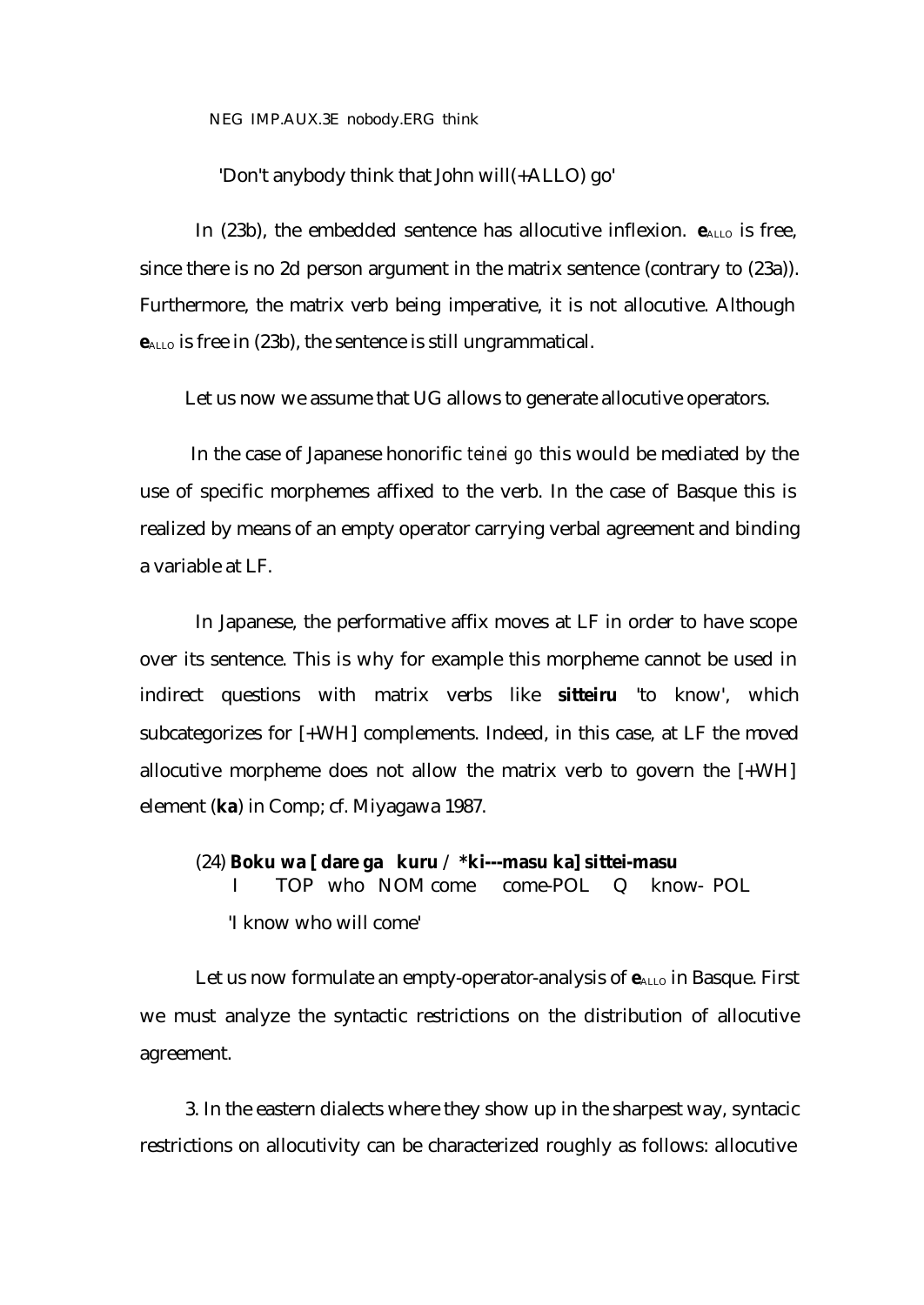NEG IMP.AUX.3E nobody.ERG think

'Don't anybody think that John will(+ALLO) go'

In (23b), the embedded sentence has allocutive inflexion.  $e_{\text{ALLO}}$  is free, since there is no 2d person argument in the matrix sentence (contrary to (23a)). Furthermore, the matrix verb being imperative, it is not allocutive. Although **e**<sub>ALLO</sub> is free in (23b), the sentence is still ungrammatical.

Let us now we assume that UG allows to generate allocutive operators.

 In the case of Japanese honorific *teinei go* this would be mediated by the use of specific morphemes affixed to the verb. In the case of Basque this is realized by means of an empty operator carrying verbal agreement and binding a variable at LF.

In Japanese, the performative affix moves at LF in order to have scope over its sentence. This is why for example this morpheme cannot be used in indirect questions with matrix verbs like **sitteiru** 'to know', which subcategorizes for [+WH] complements. Indeed, in this case, at LF the moved allocutive morpheme does not allow the matrix verb to govern the  $[+WH]$ element (**ka**) in Comp; cf. Miyagawa 1987.

(24) **Boku wa [ dare ga kuru** / **\*ki---masu ka] sittei-masu** I TOP who NOM come come-POL Q know- POL 'I know who will come'

Let us now formulate an empty-operator-analysis of  $e_{\text{ALLO}}$  in Basque. First we must analyze the syntactic restrictions on the distribution of allocutive agreement.

3. In the eastern dialects where they show up in the sharpest way, syntacic restrictions on allocutivity can be characterized roughly as follows: allocutive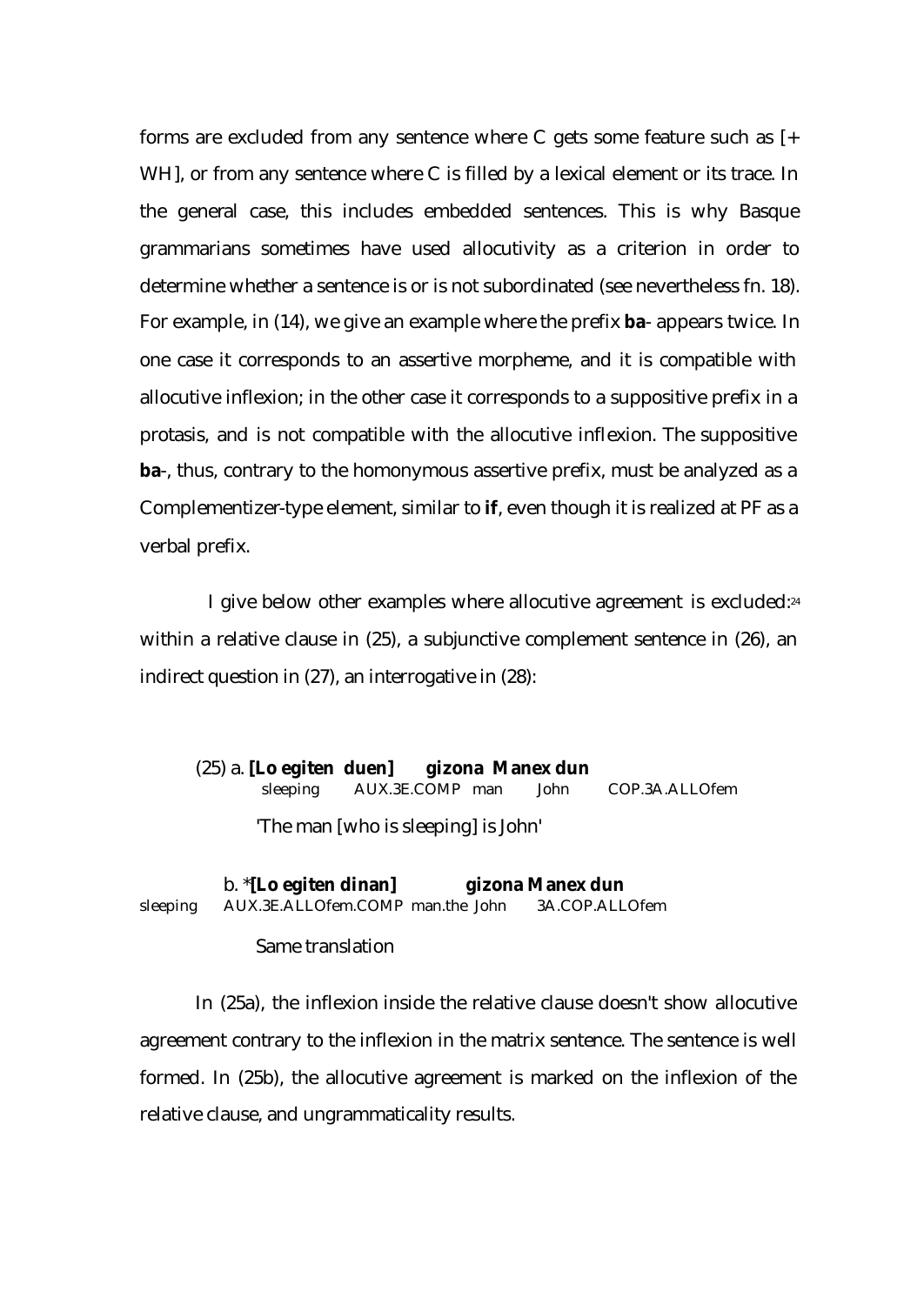forms are excluded from any sentence where C gets some feature such as  $[+]$ WH], or from any sentence where C is filled by a lexical element or its trace. In the general case, this includes embedded sentences. This is why Basque grammarians sometimes have used allocutivity as a criterion in order to determine whether a sentence is or is not subordinated (see nevertheless fn. 18). For example, in (14), we give an example where the prefix **ba**- appears twice. In one case it corresponds to an assertive morpheme, and it is compatible with allocutive inflexion; in the other case it corresponds to a suppositive prefix in a protasis, and is not compatible with the allocutive inflexion. The suppositive **ba**-, thus, contrary to the homonymous assertive prefix, must be analyzed as a Complementizer-type element, similar to **if**, even though it is realized at PF as a verbal prefix.

 I give below other examples where allocutive agreement is excluded:<sup>24</sup> within a relative clause in (25), a subjunctive complement sentence in (26), an indirect question in (27), an interrogative in (28):

(25) a. **[Lo egiten duen] gizona Manex dun** sleeping AUX.3E.COMP man John COP.3A.ALLOfem 'The man [who is sleeping] is John'

 b. \***[Lo egiten dinan] gizona Manex dun** sleeping AUX.3E.ALLOfem.COMP man.the John 3A.COP.ALLOfem

## Same translation

In (25a), the inflexion inside the relative clause doesn't show allocutive agreement contrary to the inflexion in the matrix sentence. The sentence is well formed. In (25b), the allocutive agreement is marked on the inflexion of the relative clause, and ungrammaticality results.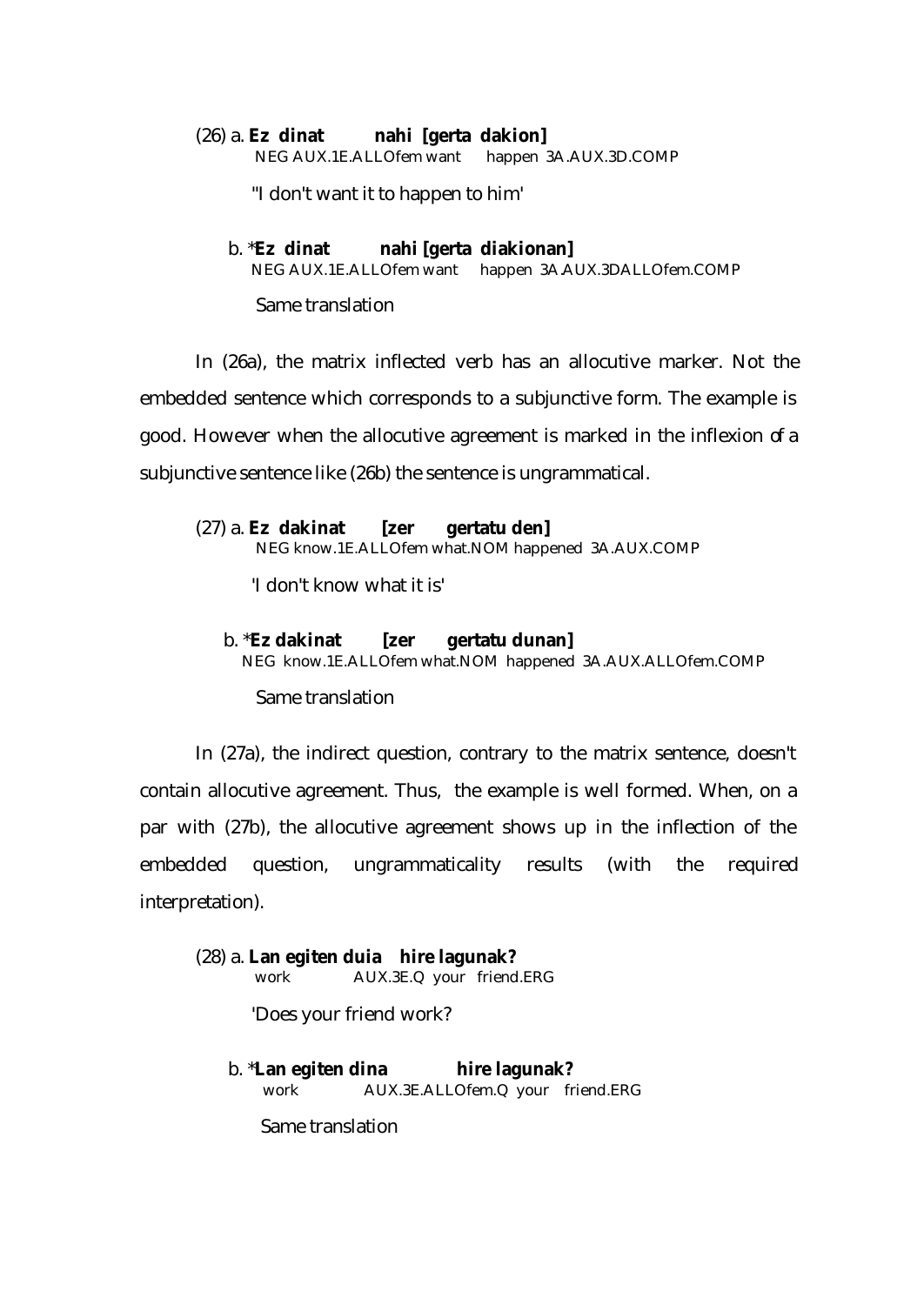(26) a. **Ez dinat nahi [gerta dakion]** NEG AUX.1E.ALLOfem want happen 3A.AUX.3D.COMP

"I don't want it to happen to him'

# b. \***Ez dinat nahi [gerta diakionan]**  NEG AUX.1E.ALLOfem want happen 3A.AUX.3DALLOfem.COMP

Same translation

In (26a), the matrix inflected verb has an allocutive marker. Not the embedded sentence which corresponds to a subjunctive form. The example is good. However when the allocutive agreement is marked in the inflexion of a subjunctive sentence like (26b) the sentence is ungrammatical.

(27) a. **Ez dakinat [zer gertatu den]** NEG know.1E.ALLOfem what.NOM happened 3A.AUX.COMP

'I don't know what it is'

## b. \***Ez dakinat [zer gertatu dunan]**

NEG know.1E.ALLOfem what.NOM happened 3A.AUX.ALLOfem.COMP

Same translation

In (27a), the indirect question, contrary to the matrix sentence, doesn't contain allocutive agreement. Thus, the example is well formed. When, on a par with (27b), the allocutive agreement shows up in the inflection of the embedded question, ungrammaticality results (with the required interpretation).

(28) a. **Lan egiten duia hire lagunak?** work AUX.3E.Q your friend.ERG

'Does your friend work?

 b. \***Lan egiten dina hire lagunak?** work AUX.3E.ALLOfem.Q your friend.ERG

Same translation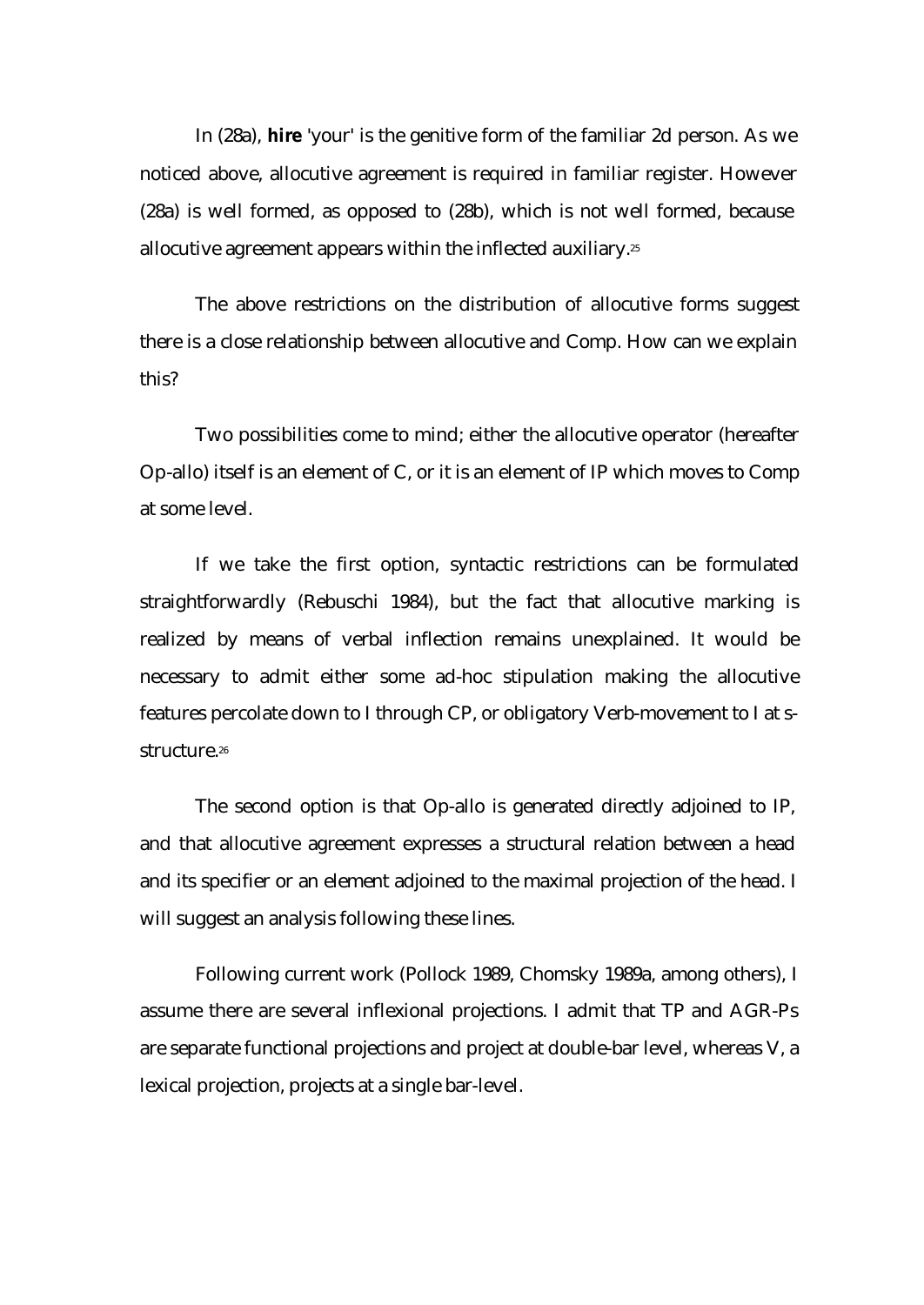In (28a), **hire** 'your' is the genitive form of the familiar 2d person. As we noticed above, allocutive agreement is required in familiar register. However (28a) is well formed, as opposed to (28b), which is not well formed, because allocutive agreement appears within the inflected auxiliary.<sup>25</sup>

The above restrictions on the distribution of allocutive forms suggest there is a close relationship between allocutive and Comp. How can we explain this?

Two possibilities come to mind; either the allocutive operator (hereafter Op-allo) itself is an element of C, or it is an element of IP which moves to Comp at some level.

If we take the first option, syntactic restrictions can be formulated straightforwardly (Rebuschi 1984), but the fact that allocutive marking is realized by means of verbal inflection remains unexplained. It would be necessary to admit either some ad-hoc stipulation making the allocutive features percolate down to I through CP, or obligatory Verb-movement to I at sstructure.<sup>26</sup>

The second option is that Op-allo is generated directly adjoined to IP, and that allocutive agreement expresses a structural relation between a head and its specifier or an element adjoined to the maximal projection of the head. I will suggest an analysis following these lines.

Following current work (Pollock 1989, Chomsky 1989a, among others), I assume there are several inflexional projections. I admit that TP and AGR-Ps are separate functional projections and project at double-bar level, whereas V, a lexical projection, projects at a single bar-level.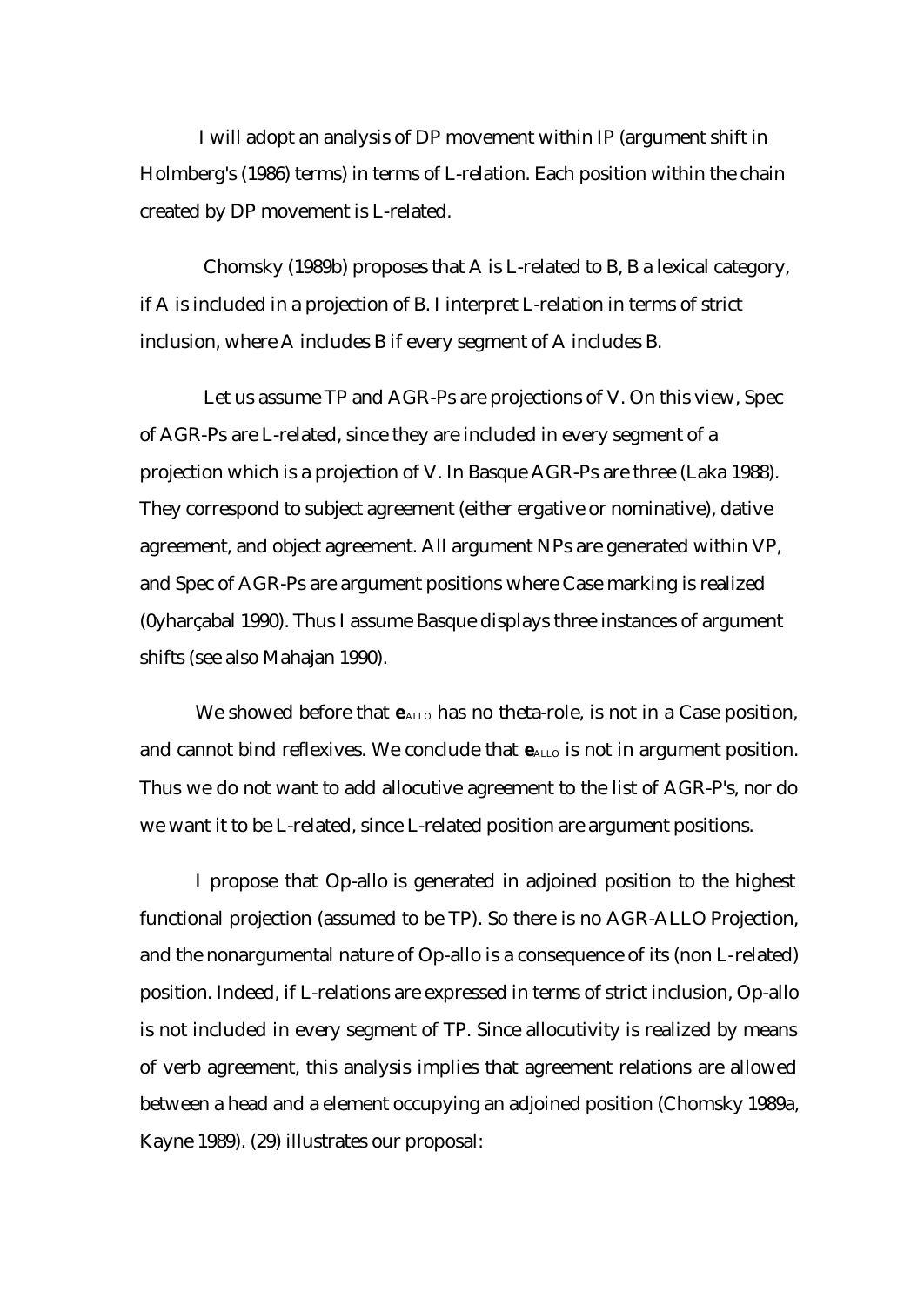I will adopt an analysis of DP movement within IP (argument shift in Holmberg's (1986) terms) in terms of L-relation. Each position within the chain created by DP movement is L-related.

 Chomsky (1989b) proposes that A is L-related to B, B a lexical category, if A is included in a projection of B. I interpret L-relation in terms of strict inclusion, where A includes B if every segment of A includes B.

 Let us assume TP and AGR-Ps are projections of V. On this view, Spec of AGR-Ps are L-related, since they are included in every segment of a projection which is a projection of V. In Basque AGR-Ps are three (Laka 1988). They correspond to subject agreement (either ergative or nominative), dative agreement, and object agreement. All argument NPs are generated within VP, and Spec of AGR-Ps are argument positions where Case marking is realized (0yharçabal 1990). Thus I assume Basque displays three instances of argument shifts (see also Mahajan 1990).

We showed before that  $e_{\text{ALLO}}$  has no theta-role, is not in a Case position, and cannot bind reflexives. We conclude that  $e_{\text{ALLO}}$  is not in argument position. Thus we do not want to add allocutive agreement to the list of AGR-P's, nor do we want it to be L-related, since L-related position are argument positions.

I propose that Op-allo is generated in adjoined position to the highest functional projection (assumed to be TP). So there is no AGR-ALLO Projection, and the nonargumental nature of Op-allo is a consequence of its (non L-related) position. Indeed, if L-relations are expressed in terms of strict inclusion, Op-allo is not included in every segment of TP. Since allocutivity is realized by means of verb agreement, this analysis implies that agreement relations are allowed between a head and a element occupying an adjoined position (Chomsky 1989a, Kayne 1989). (29) illustrates our proposal: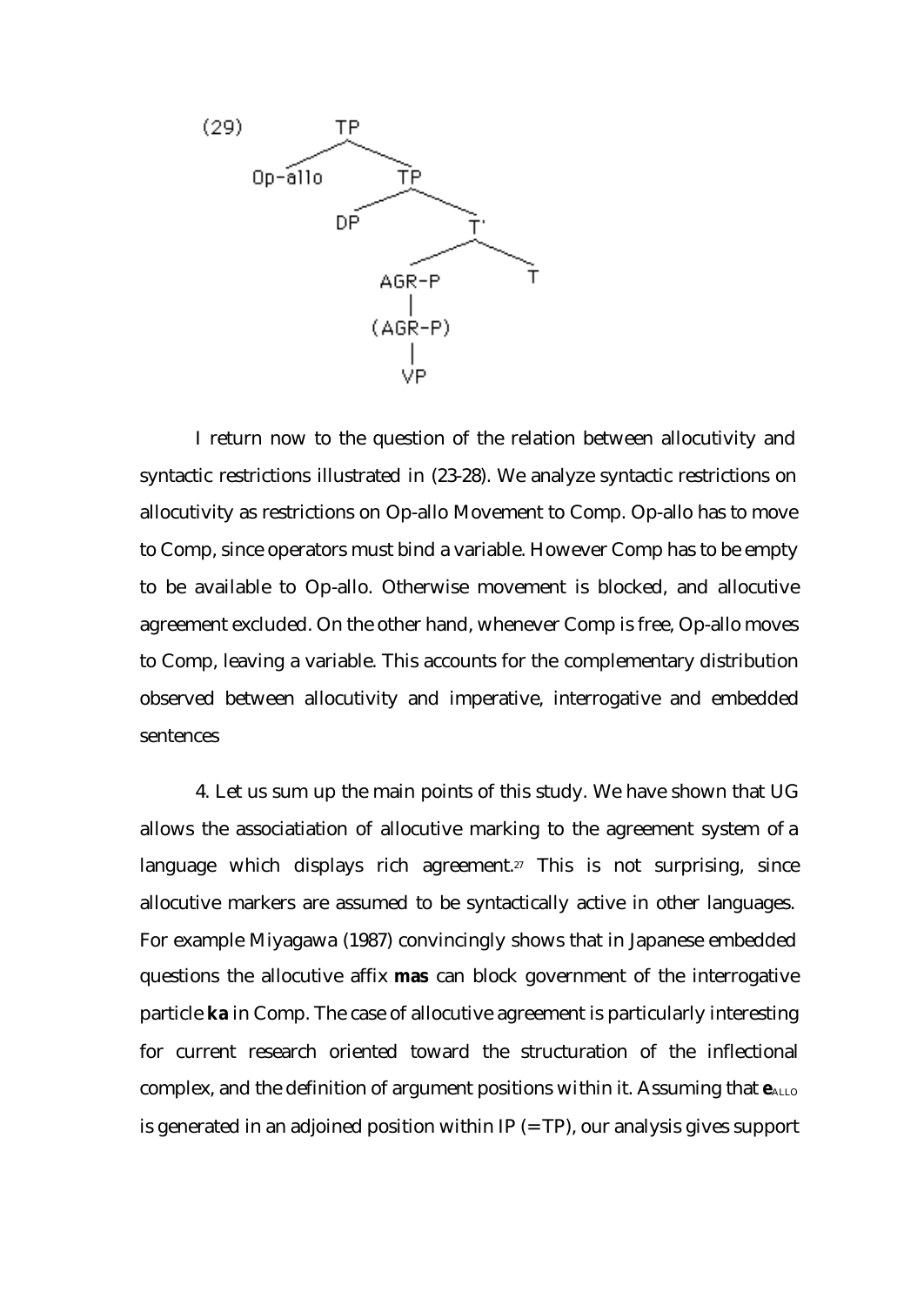

I return now to the question of the relation between allocutivity and syntactic restrictions illustrated in (23-28). We analyze syntactic restrictions on allocutivity as restrictions on Op-allo Movement to Comp. Op-allo has to move to Comp, since operators must bind a variable. However Comp has to be empty to be available to Op-allo. Otherwise movement is blocked, and allocutive agreement excluded. On the other hand, whenever Comp is free, Op-allo moves to Comp, leaving a variable. This accounts for the complementary distribution observed between allocutivity and imperative, interrogative and embedded sentences

4. Let us sum up the main points of this study. We have shown that UG allows the associatiation of allocutive marking to the agreement system of a language which displays rich agreement.<sup>27</sup> This is not surprising, since allocutive markers are assumed to be syntactically active in other languages. For example Miyagawa (1987) convincingly shows that in Japanese embedded questions the allocutive affix **mas** can block government of the interrogative particle **ka** in Comp. The case of allocutive agreement is particularly interesting for current research oriented toward the structuration of the inflectional complex, and the definition of argument positions within it. Assuming that  $e_{\text{ALLO}}$ is generated in an adjoined position within  $IP (= TP)$ , our analysis gives support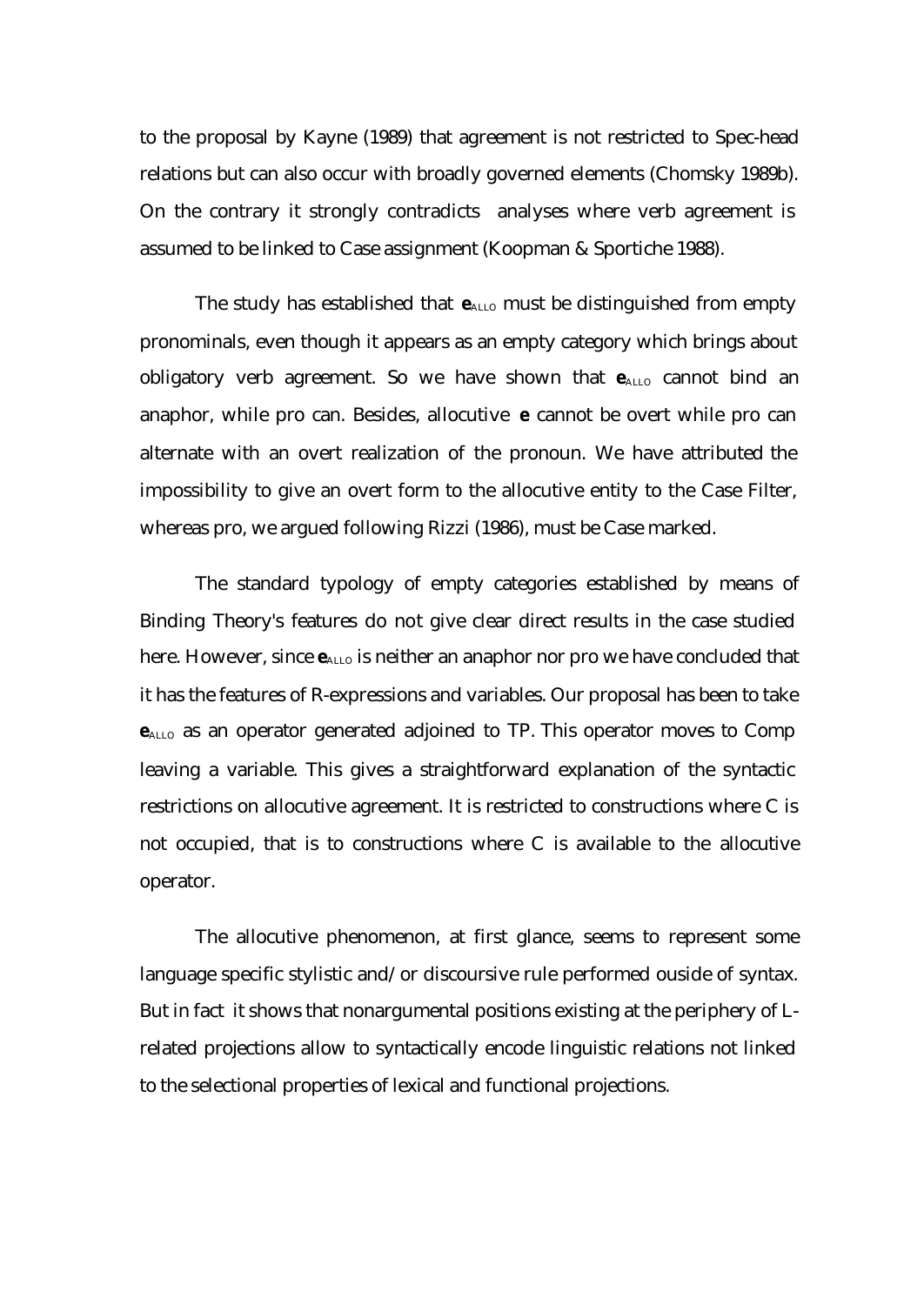to the proposal by Kayne (1989) that agreement is not restricted to Spec-head relations but can also occur with broadly governed elements (Chomsky 1989b). On the contrary it strongly contradicts analyses where verb agreement is assumed to be linked to Case assignment (Koopman & Sportiche 1988).

The study has established that  $e_{ALLO}$  must be distinguished from empty pronominals, even though it appears as an empty category which brings about obligatory verb agreement. So we have shown that  $e$ <sub>ALLO</sub> cannot bind an anaphor, while pro can. Besides, allocutive **e** cannot be overt while pro can alternate with an overt realization of the pronoun. We have attributed the impossibility to give an overt form to the allocutive entity to the Case Filter, whereas pro, we argued following Rizzi (1986), must be Case marked.

The standard typology of empty categories established by means of Binding Theory's features do not give clear direct results in the case studied here. However, since  $e_{\text{ALLO}}$  is neither an anaphor nor pro we have concluded that it has the features of R-expressions and variables. Our proposal has been to take **e**ALLO as an operator generated adjoined to TP. This operator moves to Comp leaving a variable. This gives a straightforward explanation of the syntactic restrictions on allocutive agreement. It is restricted to constructions where C is not occupied, that is to constructions where C is available to the allocutive operator.

The allocutive phenomenon, at first glance, seems to represent some language specific stylistic and/or discoursive rule performed ouside of syntax. But in fact it shows that nonargumental positions existing at the periphery of Lrelated projections allow to syntactically encode linguistic relations not linked to the selectional properties of lexical and functional projections.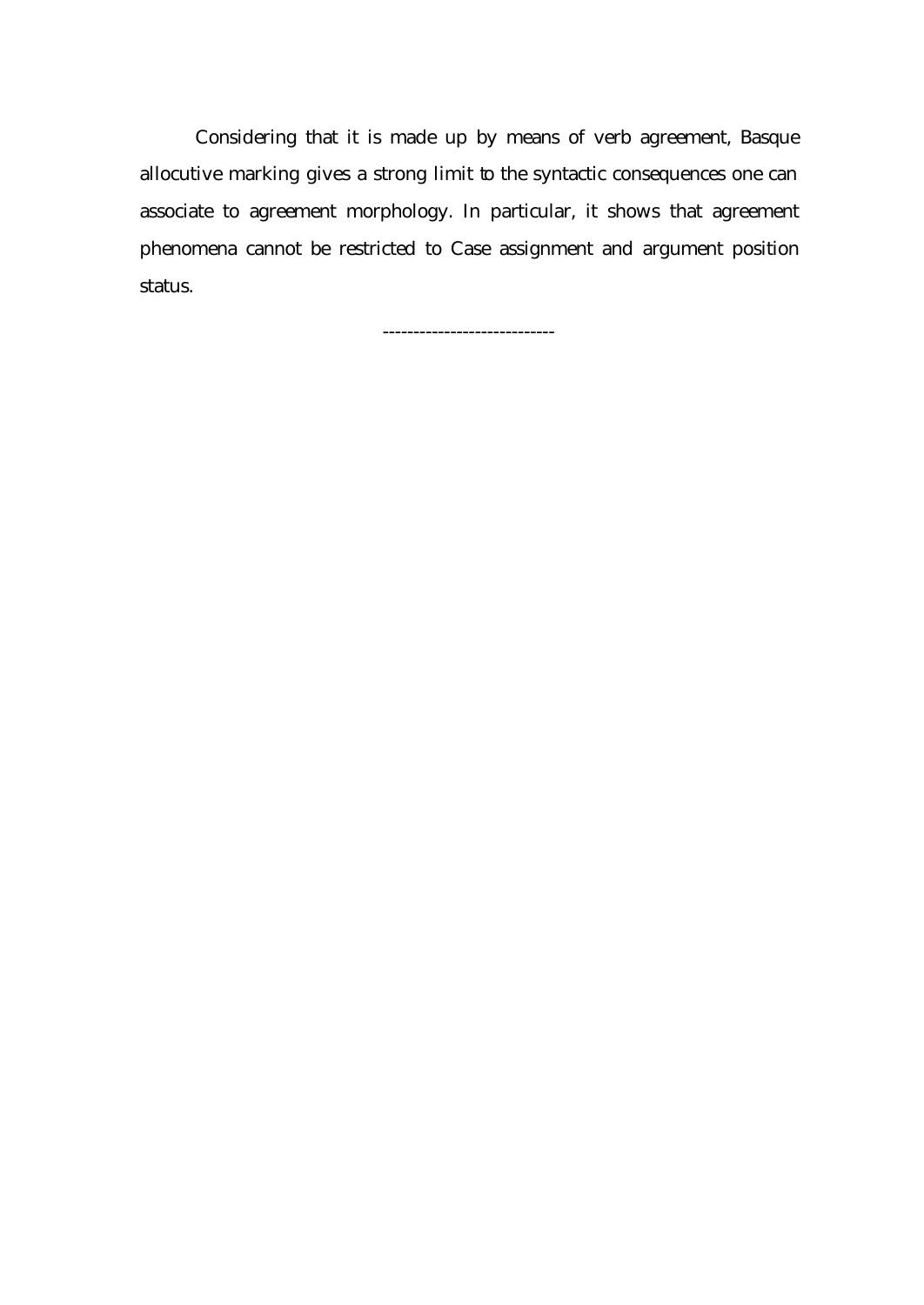Considering that it is made up by means of verb agreement, Basque allocutive marking gives a strong limit to the syntactic consequences one can associate to agreement morphology. In particular, it shows that agreement phenomena cannot be restricted to Case assignment and argument position status.

----------------------------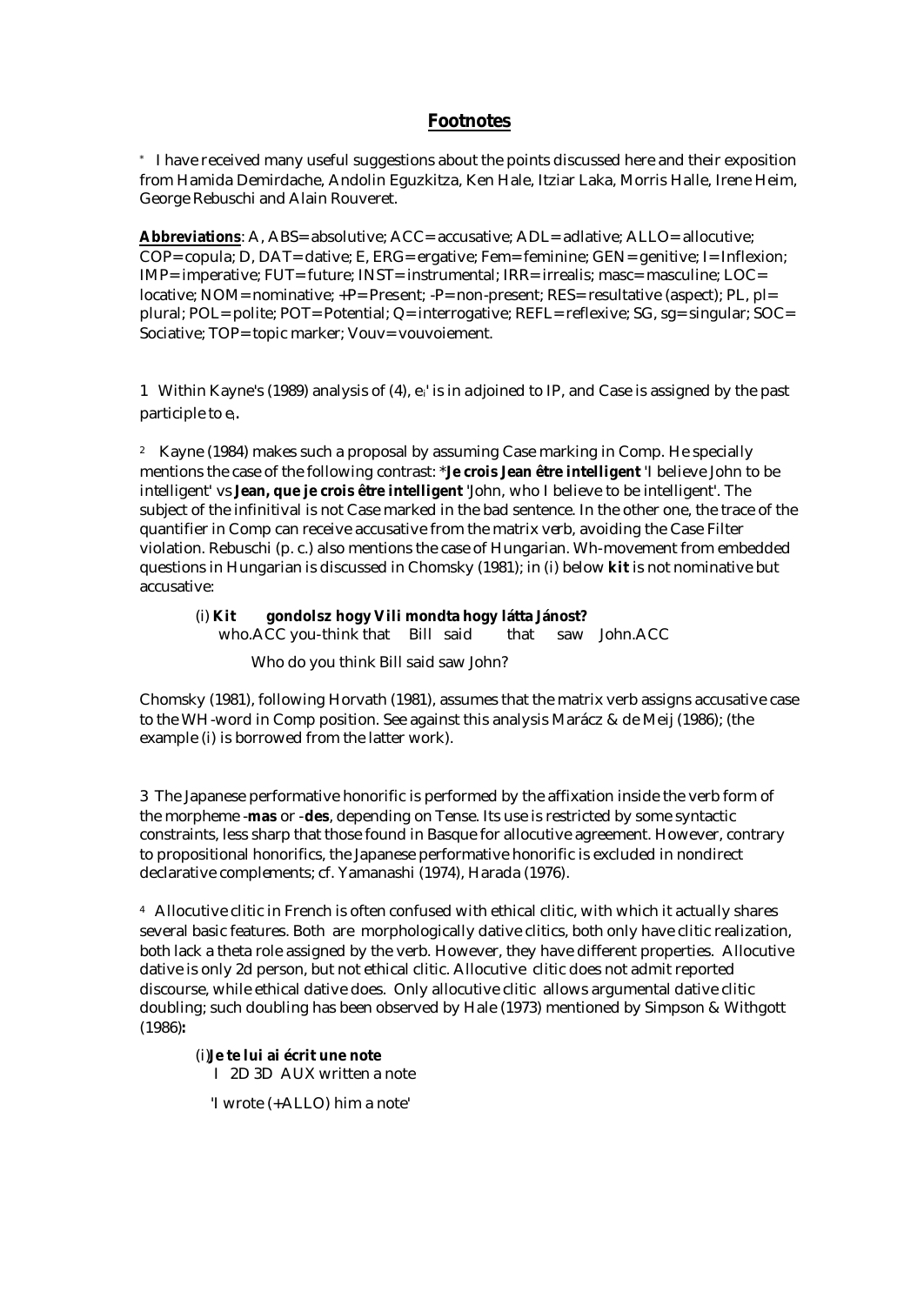## **Footnotes**

\* I have received many useful suggestions about the points discussed here and their exposition from Hamida Demirdache, Andolin Eguzkitza, Ken Hale, Itziar Laka, Morris Halle, Irene Heim, George Rebuschi and Alain Rouveret.

**Abbreviations**: A, ABS= absolutive; ACC= accusative; ADL= adlative; ALLO= allocutive; COP= copula; D, DAT= dative; E, ERG= ergative; Fem= feminine; GEN= genitive; I= Inflexion; IMP= imperative; FUT= future; INST= instrumental; IRR= irrealis; masc= masculine; LOC= locative; NOM= nominative; +P= Present; -P= non-present; RES= resultative (aspect); PL, pl= plural; POL= polite; POT= Potential; Q= interrogative; REFL= reflexive; SG, sg= singular; SOC= Sociative; TOP= topic marker; Vouv= vouvoiement.

1 Within Kayne's (1989) analysis of (4),  $e_i$ ' is in adjoined to IP, and Case is assigned by the past participle to ei.

<sup>2</sup> Kayne (1984) makes such a proposal by assuming Case marking in Comp. He specially mentions the case of the following contrast: \***Je crois Jean être intelligent** 'I believe John to be intelligent' vs **Jean, que je crois être intelligent** 'John, who I believe to be intelligent'. The subject of the infinitival is not Case marked in the bad sentence. In the other one, the trace of the quantifier in Comp can receive accusative from the matrix verb, avoiding the Case Filter violation. Rebuschi (p. c.) also mentions the case of Hungarian. Wh-movement from embedded questions in Hungarian is discussed in Chomsky (1981); in (i) below **kit** is not nominative but accusative:

### (i) **Kit gondolsz hogy Vili mondta hogy látta Jánost?**

who.ACC you-think that Bill said that saw John.ACC

Who do you think Bill said saw John?

Chomsky (1981), following Horvath (1981), assumes that the matrix verb assigns accusative case to the WH-word in Comp position. See against this analysis Marácz & de Meij (1986); (the example (i) is borrowed from the latter work).

3 The Japanese performative honorific is performed by the affixation inside the verb form of the morpheme -**mas** or -**des**, depending on Tense. Its use is restricted by some syntactic constraints, less sharp that those found in Basque for allocutive agreement. However, contrary to propositional honorifics, the Japanese performative honorific is excluded in nondirect declarative complements; cf. Yamanashi (1974), Harada (1976).

<sup>4</sup> Allocutive clitic in French is often confused with ethical clitic, with which it actually shares several basic features. Both are morphologically dative clitics, both only have clitic realization, both lack a theta role assigned by the verb. However, they have different properties. Allocutive dative is only 2d person, but not ethical clitic. Allocutive clitic does not admit reported discourse, while ethical dative does. Only allocutive clitic allows argumental dative clitic doubling; such doubling has been observed by Hale (1973) mentioned by Simpson & Withgott (1986)**:** 

(i)**Je te lui ai écrit une note** I 2D 3D AUX written a note

'I wrote (+ALLO) him a note'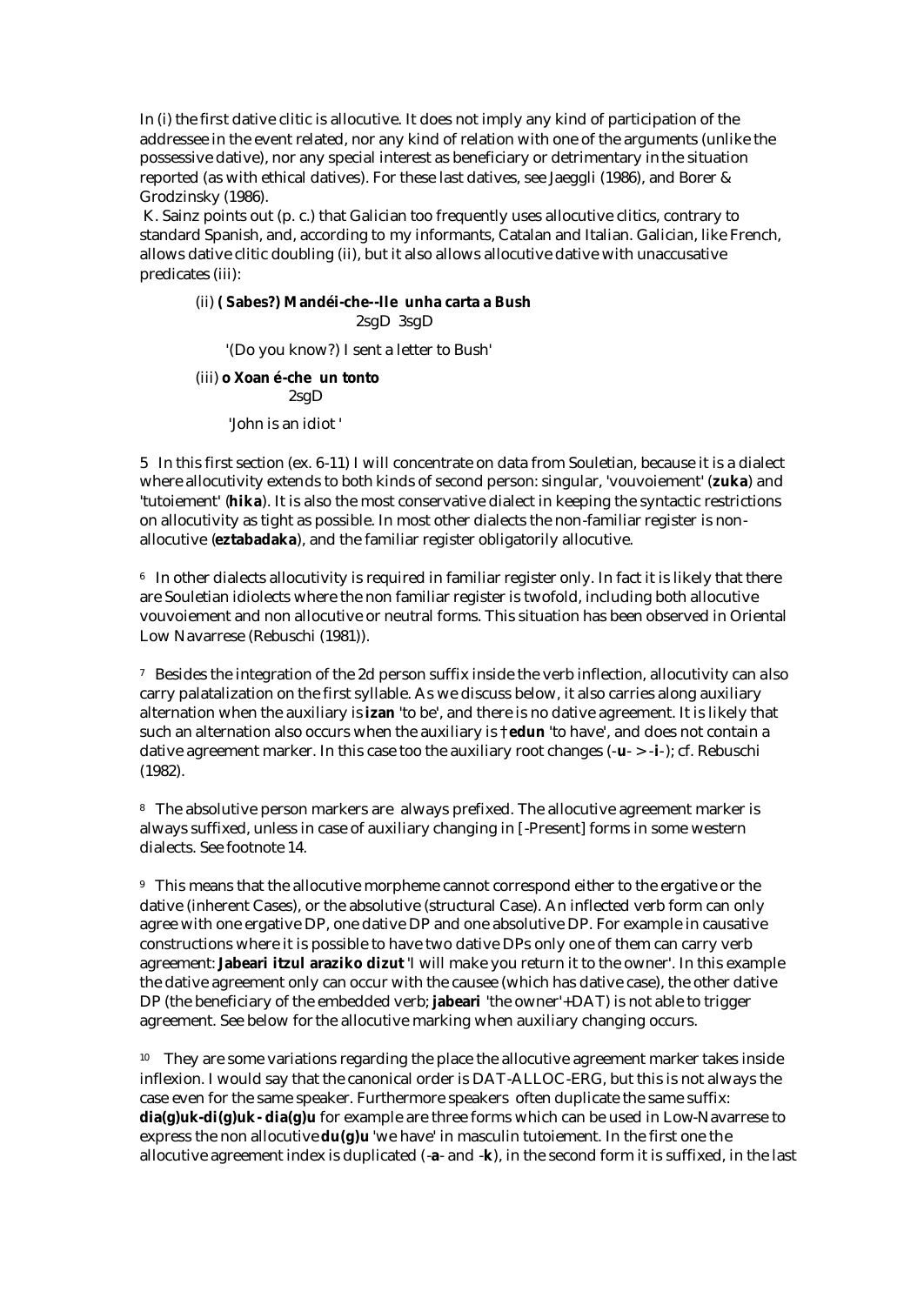In (i) the first dative clitic is allocutive. It does not imply any kind of participation of the addressee in the event related, nor any kind of relation with one of the arguments (unlike the possessive dative), nor any special interest as beneficiary or detrimentary in the situation reported (as with ethical datives). For these last datives, see Jaeggli (1986), and Borer & Grodzinsky (1986).

 K. Sainz points out (p. c.) that Galician too frequently uses allocutive clitics, contrary to standard Spanish, and, according to my informants, Catalan and Italian. Galician, like French, allows dative clitic doubling (ii), but it also allows allocutive dative with unaccusative predicates (iii):

#### (ii) **( Sabes?) Mandéi-che--lle unha carta a Bush** 2sgD 3sgD

'(Do you know?) I sent a letter to Bush'

### (iii) **o Xoan é-che un tonto** 2sgD

'John is an idiot '

5 In this first section (ex. 6-11) I will concentrate on data from Souletian, because it is a dialect where allocutivity extends to both kinds of second person: singular, 'vouvoiement' (**zuka**) and 'tutoiement' (**hika**). It is also the most conservative dialect in keeping the syntactic restrictions on allocutivity as tight as possible. In most other dialects the non-familiar register is nonallocutive (**eztabadaka**), and the familiar register obligatorily allocutive.

<sup>6</sup> In other dialects allocutivity is required in familiar register only. In fact it is likely that there are Souletian idiolects where the non familiar register is twofold, including both allocutive vouvoiement and non allocutive or neutral forms. This situation has been observed in Oriental Low Navarrese (Rebuschi (1981)).

<sup>7</sup> Besides the integration of the 2d person suffix inside the verb inflection, allocutivity can also carry palatalization on the first syllable. As we discuss below, it also carries along auxiliary alternation when the auxiliary is **izan** 'to be', and there is no dative agreement. It is likely that such an alternation also occurs when the auxiliary is †**edun** 'to have', and does not contain a dative agreement marker. In this case too the auxiliary root changes (-**u**- > -**i**-); cf. Rebuschi (1982).

<sup>8</sup> The absolutive person markers are always prefixed. The allocutive agreement marker is always suffixed, unless in case of auxiliary changing in [-Present] forms in some western dialects. See footnote 14.

<sup>9</sup> This means that the allocutive morpheme cannot correspond either to the ergative or the dative (inherent Cases), or the absolutive (structural Case). An inflected verb form can only agree with one ergative DP, one dative DP and one absolutive DP. For example in causative constructions where it is possible to have two dative DPs only one of them can carry verb agreement: **Jabeari itzul araziko dizut** 'I will make you return it to the owner'. In this example the dative agreement only can occur with the causee (which has dative case), the other dative DP (the beneficiary of the embedded verb; **jabeari** 'the owner'+DAT) is not able to trigger agreement. See below for the allocutive marking when auxiliary changing occurs.

<sup>10</sup> They are some variations regarding the place the allocutive agreement marker takes inside inflexion. I would say that the canonical order is DAT-ALLOC-ERG, but this is not always the case even for the same speaker. Furthermore speakers often duplicate the same suffix: **dia(g)uk-di(g)uk- dia(g)u** for example are three forms which can be used in Low-Navarrese to express the non allocutive **du(g)u** 'we have' in masculin tutoiement. In the first one the allocutive agreement index is duplicated (-**a**- and -**k**), in the second form it is suffixed, in the last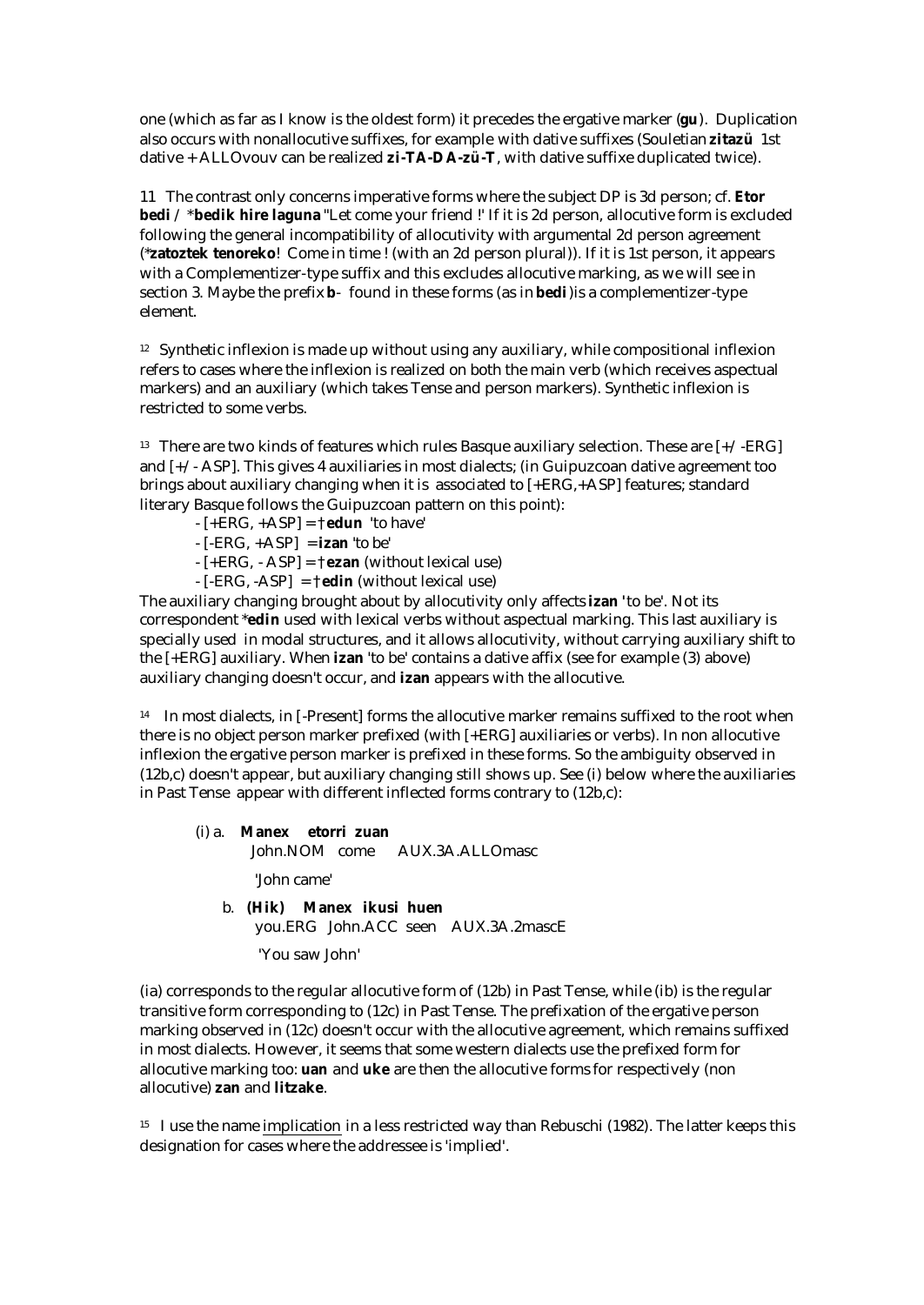one (which as far as I know is the oldest form) it precedes the ergative marker (**gu**). Duplication also occurs with nonallocutive suffixes, for example with dative suffixes (Souletian **zitazü** 1st dative + ALLOvouv can be realized **zi-TA-DA-zü-T**, with dative suffixe duplicated twice).

11 The contrast only concerns imperative forms where the subject DP is 3d person; cf. **Etor bedi** / \***bedik hire laguna** "Let come your friend !' If it is 2d person, allocutive form is excluded following the general incompatibility of allocutivity with argumental 2d person agreement (\***zatoztek tenoreko**! Come in time ! (with an 2d person plural)). If it is 1st person, it appears with a Complementizer-type suffix and this excludes allocutive marking, as we will see in section 3. Maybe the prefix **b**- found in these forms (as in **bedi**)is a complementizer-type element.

<sup>12</sup> Synthetic inflexion is made up without using any auxiliary, while compositional inflexion refers to cases where the inflexion is realized on both the main verb (which receives aspectual markers) and an auxiliary (which takes Tense and person markers). Synthetic inflexion is restricted to some verbs.

<sup>13</sup> There are two kinds of features which rules Basque auxiliary selection. These are  $[+/ERG]$ and [+/- ASP]. This gives 4 auxiliaries in most dialects; (in Guipuzcoan dative agreement too brings about auxiliary changing when it is associated to  $[+ER\ddot{G},+ASP]$  features; standard literary Basque follows the Guipuzcoan pattern on this point):

- $-[+ERG, +ASP] = \uparrow$ **edun** 'to have'
- [-ERG, +ASP] = **izan** 'to be'
- [+ERG, ASP] = †**ezan** (without lexical use)
- [-ERG, -ASP] = †**edin** (without lexical use)

The auxiliary changing brought about by allocutivity only affects **izan '**to be'. Not its correspondent \***edin** used with lexical verbs without aspectual marking. This last auxiliary is specially used in modal structures, and it allows allocutivity, without carrying auxiliary shift to the [+ERG] auxiliary. When **izan** 'to be' contains a dative affix (see for example (3) above) auxiliary changing doesn't occur, and **izan** appears with the allocutive.

<sup>14</sup> In most dialects, in [-Present] forms the allocutive marker remains suffixed to the root when there is no object person marker prefixed (with [+ERG] auxiliaries or verbs). In non allocutive inflexion the ergative person marker is prefixed in these forms. So the ambiguity observed in (12b,c) doesn't appear, but auxiliary changing still shows up. See (i) below where the auxiliaries in Past Tense appear with different inflected forms contrary to (12b,c):

### (i) a. **Manex etorri zuan**

John.NOM come AUX.3A.ALLOmasc

'John came'

 b. **(Hik) Manex ikusi huen** you.ERG John.ACC seen AUX.3A.2mascE

'You saw John'

(ia) corresponds to the regular allocutive form of (12b) in Past Tense, while (ib) is the regular transitive form corresponding to (12c) in Past Tense. The prefixation of the ergative person marking observed in (12c) doesn't occur with the allocutive agreement, which remains suffixed in most dialects. However, it seems that some western dialects use the prefixed form for allocutive marking too: **uan** and **uke** are then the allocutive forms for respectively (non allocutive) **zan** and **litzake**.

<sup>15</sup> I use the name implication in a less restricted way than Rebuschi (1982). The latter keeps this designation for cases where the addressee is 'implied'.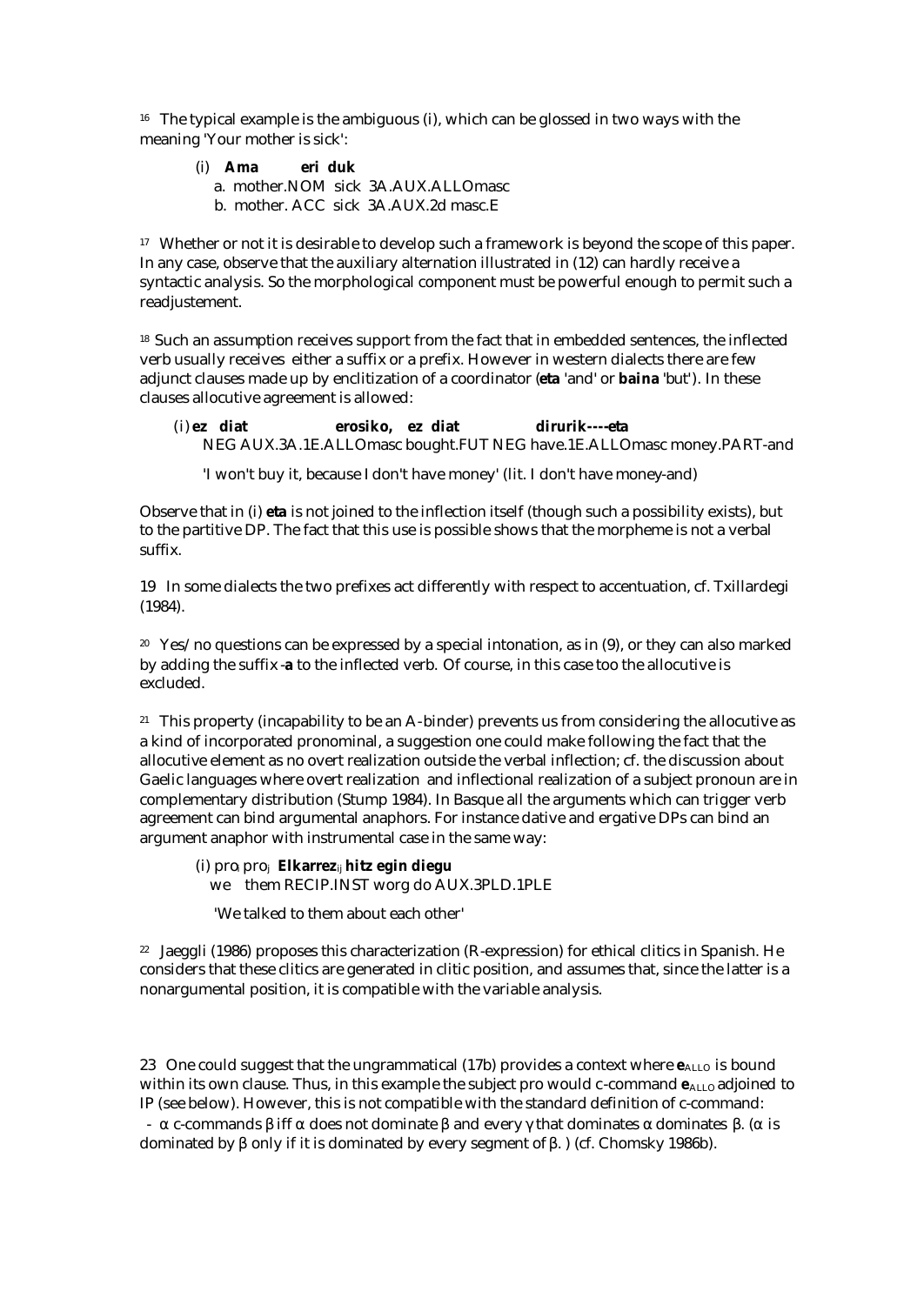<sup>16</sup> The typical example is the ambiguous (i), which can be glossed in two ways with the meaning 'Your mother is sick':

- (i) **Ama eri duk**
	- a. mother.NOM sick 3A.AUX.ALLOmasc
	- b. mother. ACC sick 3A.AUX.2d masc.E

<sup>17</sup> Whether or not it is desirable to develop such a framework is beyond the scope of this paper. In any case, observe that the auxiliary alternation illustrated in (12) can hardly receive a syntactic analysis. So the morphological component must be powerful enough to permit such a readjustement.

<sup>18</sup> Such an assumption receives support from the fact that in embedded sentences, the inflected verb usually receives either a suffix or a prefix. However in western dialects there are few adjunct clauses made up by enclitization of a coordinator (**eta** 'and' or **baina** 'but'). In these clauses allocutive agreement is allowed:

 (i) **ez diat erosiko, ez diat dirurik----eta** NEG AUX.3A.1E.ALLOmasc bought.FUT NEG have.1E.ALLOmasc money.PART-and

'I won't buy it, because I don't have money' (lit. I don't have money-and)

Observe that in (i) **eta** is not joined to the inflection itself (though such a possibility exists), but to the partitive DP. The fact that this use is possible shows that the morpheme is not a verbal suffix.

19 In some dialects the two prefixes act differently with respect to accentuation, cf. Txillardegi (1984).

<sup>20</sup> Yes/no questions can be expressed by a special intonation, as in  $(9)$ , or they can also marked by adding the suffix -**a** to the inflected verb. Of course, in this case too the allocutive is excluded.

<sup>21</sup> This property (incapability to be an A-binder) prevents us from considering the allocutive as a kind of incorporated pronominal, a suggestion one could make following the fact that the allocutive element as no overt realization outside the verbal inflection; cf. the discussion about Gaelic languages where overt realization and inflectional realization of a subject pronoun are in complementary distribution (Stump 1984). In Basque all the arguments which can trigger verb agreement can bind argumental anaphors. For instance dative and ergative DPs can bind an argument anaphor with instrumental case in the same way:

(i) proi pro<sup>j</sup> **Elkarrez**ij **hitz egin diegu** we them RECIP.INST worg do AUX.3PLD.1PLE

'We talked to them about each other'

<sup>22</sup> Jaeggli (1986) proposes this characterization (R-expression) for ethical clitics in Spanish. He considers that these clitics are generated in clitic position, and assumes that, since the latter is a nonargumental position, it is compatible with the variable analysis.

23 One could suggest that the ungrammatical (17b) provides a context where  $e_{\text{ALLO}}$  is bound within its own clause. Thus, in this example the subject pro would c-command  $e_{\text{ALO}}$  adjoined to IP (see below). However, this is not compatible with the standard definition of c-command: - α c-commands β iff α does not dominate β and every γ that dominates α dominates β. (α is dominated by β only if it is dominated by every segment of β. ) (cf. Chomsky 1986b).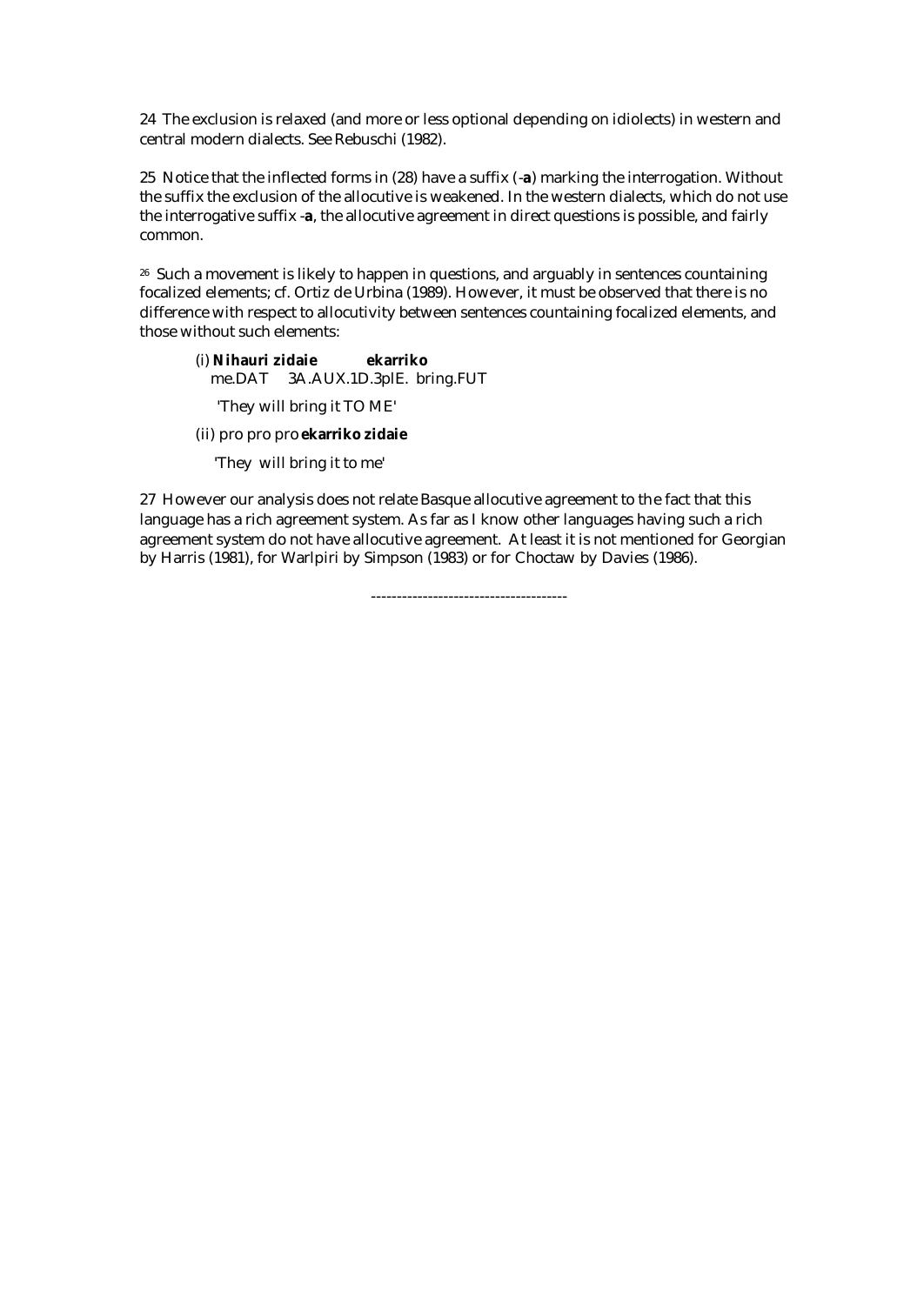24 The exclusion is relaxed (and more or less optional depending on idiolects) in western and central modern dialects. See Rebuschi (1982).

25 Notice that the inflected forms in (28) have a suffix (-**a**) marking the interrogation. Without the suffix the exclusion of the allocutive is weakened. In the western dialects, which do not use the interrogative suffix -**a**, the allocutive agreement in direct questions is possible, and fairly common.

<sup>26</sup> Such a movement is likely to happen in questions, and arguably in sentences countaining focalized elements; cf. Ortiz de Urbina (1989). However, it must be observed that there is no difference with respect to allocutivity between sentences countaining focalized elements, and those without such elements:

(i) **Nihauri zidaie ekarriko** me.DAT 3A.AUX.1D.3plE. bring.FUT 'They will bring it TO ME'

(ii) pro pro pro **ekarriko zidaie**

'They will bring it to me'

27 However our analysis does not relate Basque allocutive agreement to the fact that this language has a rich agreement system. As far as I know other languages having such a rich agreement system do not have allocutive agreement. At least it is not mentioned for Georgian by Harris (1981), for Warlpiri by Simpson (1983) or for Choctaw by Davies (1986).

--------------------------------------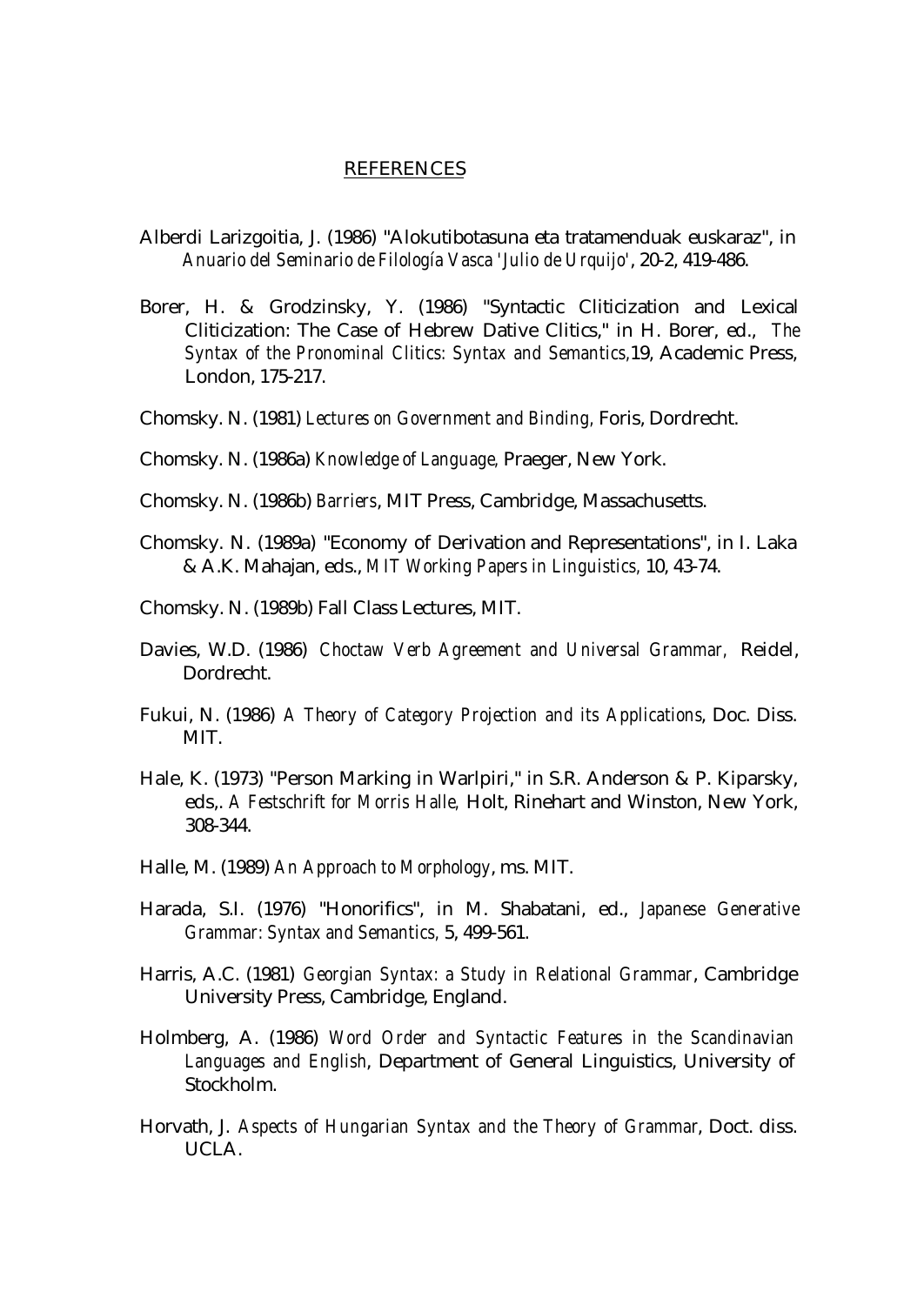### REFERENCES

- Alberdi Larizgoitia, J. (1986) "Alokutibotasuna eta tratamenduak euskaraz", in *Anuario del Seminario de Filología Vasca 'Julio de Urquijo'*, 20-2, 419-486.
- Borer, H. & Grodzinsky, Y. (1986) "Syntactic Cliticization and Lexical Cliticization: The Case of Hebrew Dative Clitics," in H. Borer, ed., *The Syntax of the Pronominal Clitics: Syntax and Semantics,*19, Academic Press, London, 175-217.
- Chomsky. N. (1981) *Lectures on Government and Binding,* Foris, Dordrecht.
- Chomsky. N. (1986a) *Knowledge of Language,* Praeger, New York.
- Chomsky. N. (1986b) *Barriers*, MIT Press, Cambridge, Massachusetts.
- Chomsky. N. (1989a) "Economy of Derivation and Representations", in I. Laka & A.K. Mahajan, eds., *MIT Working Papers in Linguistics,* 10, 43-74.
- Chomsky. N. (1989b) Fall Class Lectures, MIT.
- Davies, W.D. (1986) *Choctaw Verb Agreement and Universal Grammar,* Reidel, Dordrecht.
- Fukui, N. (1986) *A Theory of Category Projection and its Applications*, Doc. Diss. MIT.
- Hale, K. (1973) "Person Marking in Warlpiri," in S.R. Anderson & P. Kiparsky, eds,. *A Festschrift for Morris Halle,* Holt, Rinehart and Winston, New York, 308-344.
- Halle, M. (1989) *An Approach to Morphology*, ms. MIT.
- Harada, S.I. (1976) "Honorifics", in M. Shabatani, ed., *Japanese Generative Grammar: Syntax and Semantics,* 5, 499-561.
- Harris, A.C. (1981) *Georgian Syntax: a Study in Relational Grammar*, Cambridge University Press, Cambridge, England.
- Holmberg, A. (1986) *Word Order and Syntactic Features in the Scandinavian Languages and English*, Department of General Linguistics, University of Stockholm.
- Horvath, J. *Aspects of Hungarian Syntax and the Theory of Grammar*, Doct. diss. UCLA.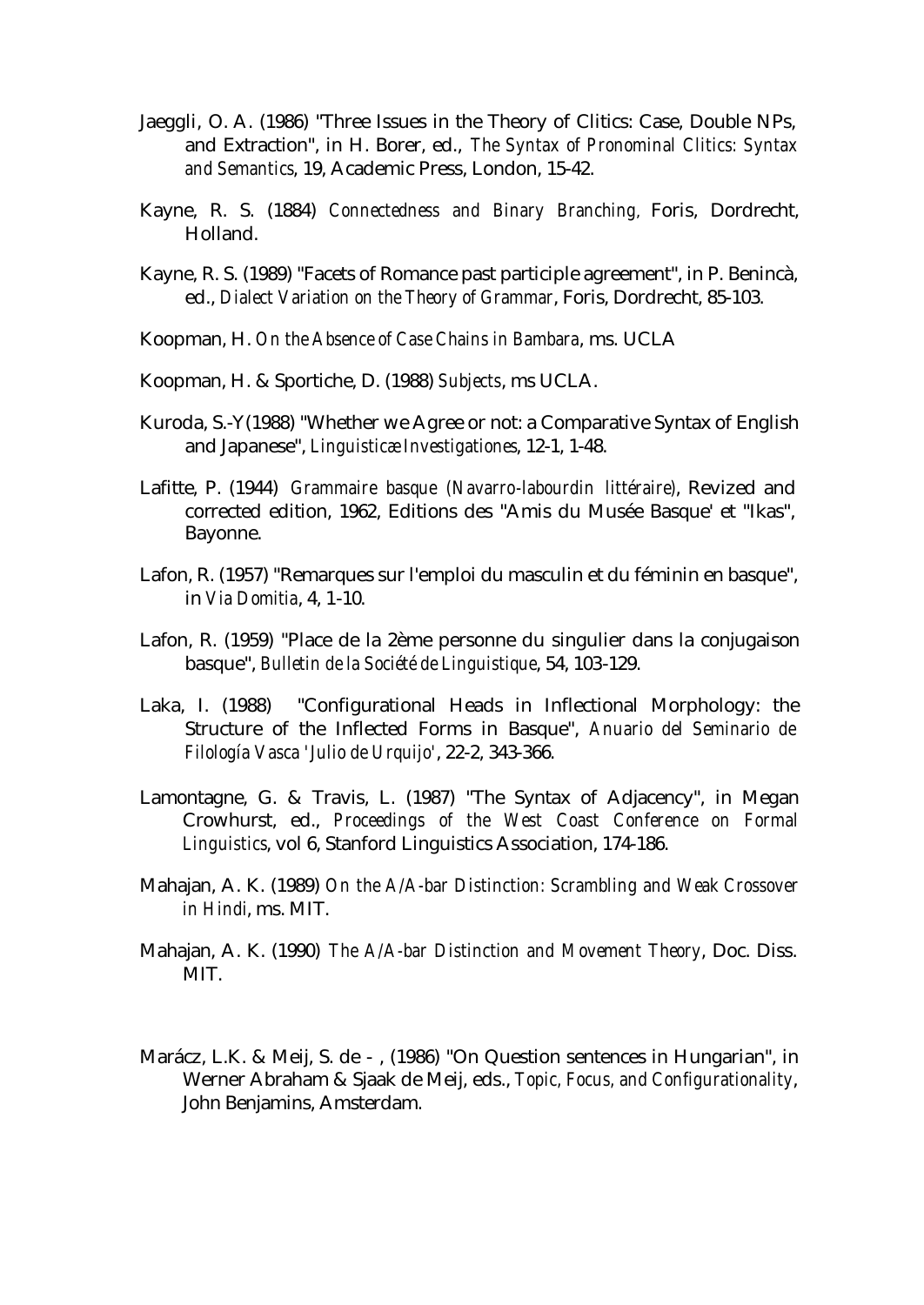- Jaeggli, O. A. (1986) "Three Issues in the Theory of Clitics: Case, Double NPs, and Extraction", in H. Borer, ed., *The Syntax of Pronominal Clitics: Syntax and Semantics*, 19, Academic Press, London, 15-42.
- Kayne, R. S. (1884) *Connectedness and Binary Branching*, Foris, Dordrecht, Holland.
- Kayne, R. S. (1989) "Facets of Romance past participle agreement", in P. Benincà, ed., *Dialect Variation on the Theory of Grammar*, Foris, Dordrecht, 85-103.
- Koopman, H. *On the Absence of Case Chains in Bambara*, ms. UCLA
- Koopman, H. & Sportiche, D. (1988) *Subjects*, ms UCLA.
- Kuroda, S.-Y(1988) "Whether we Agree or not: a Comparative Syntax of English and Japanese", *Linguisticæ Investigationes*, 12-1, 1-48.
- Lafitte, P. (1944) *Grammaire basque (Navarro-labourdin littéraire)*, Revized and corrected edition, 1962, Editions des "Amis du Musée Basque' et "Ikas", Bayonne.
- Lafon, R. (1957) "Remarques sur l'emploi du masculin et du féminin en basque", in *Via Domitia*, 4, 1-10.
- Lafon, R. (1959) "Place de la 2ème personne du singulier dans la conjugaison basque", *Bulletin de la Société de Linguistique*, 54, 103-129.
- Laka, I. (1988) "Configurational Heads in Inflectional Morphology: the Structure of the Inflected Forms in Basque", *Anuario del Seminario de Filología Vasca 'Julio de Urquijo'*, 22-2, 343-366.
- Lamontagne, G. & Travis, L. (1987) "The Syntax of Adjacency", in Megan Crowhurst, ed., *Proceedings of the West Coast Conference on Formal Linguistics*, vol 6, Stanford Linguistics Association, 174-186.
- Mahajan, A. K. (1989) *On the A/A-bar Distinction: Scrambling and Weak Crossover in Hindi*, ms. MIT.
- Mahajan, A. K. (1990) *The A/A-bar Distinction and Movement Theory*, Doc. Diss. MIT.
- Marácz, L.K. & Meij, S. de , (1986) "On Question sentences in Hungarian", in Werner Abraham & Sjaak de Meij, eds., *Topic, Focus, and Configurationality*, John Benjamins, Amsterdam.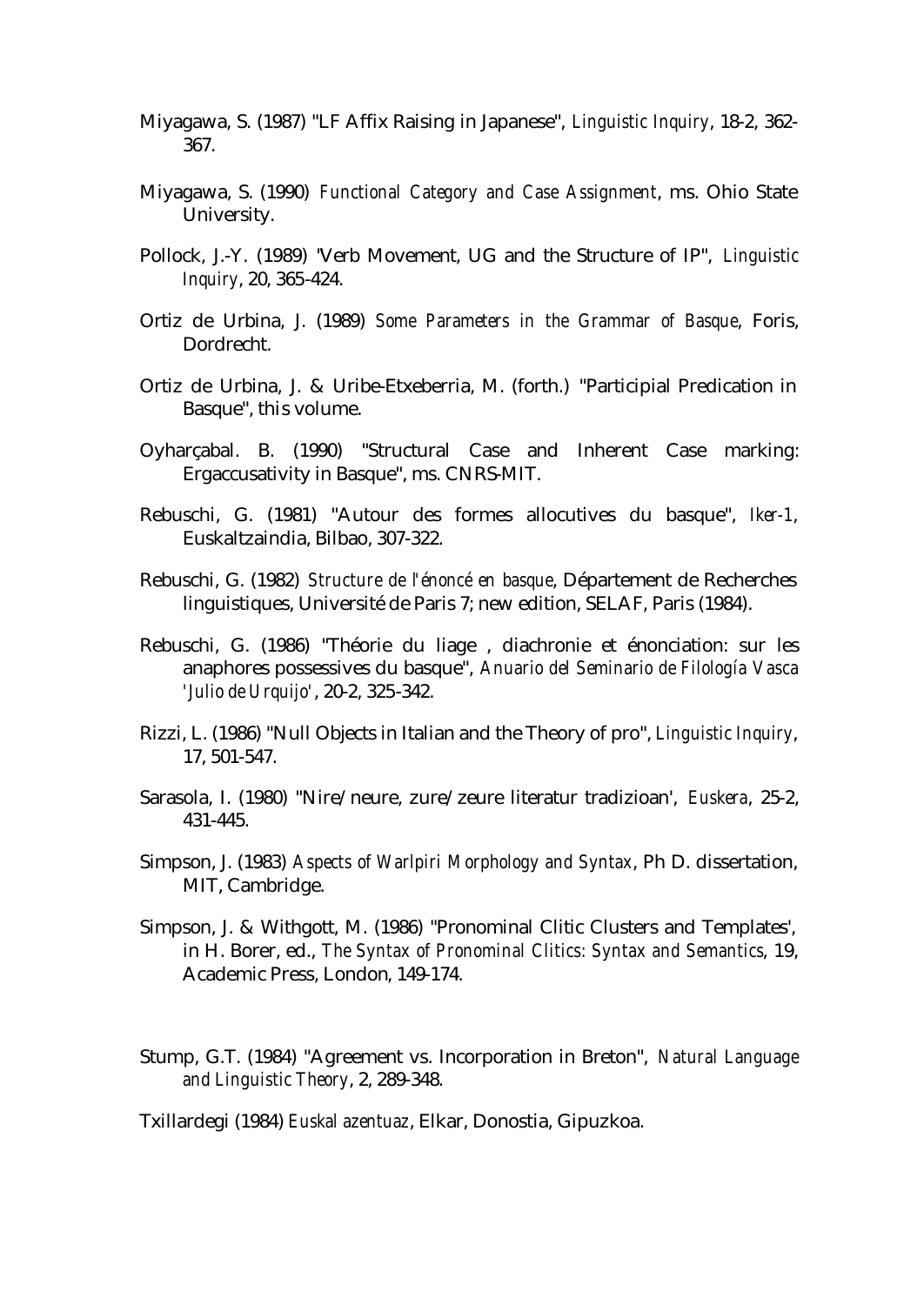- Miyagawa, S. (1987) "LF Affix Raising in Japanese", *Linguistic Inquiry*, 18-2, 362- 367.
- Miyagawa, S. (1990) *Functional Category and Case Assignment*, ms. Ohio State University.
- Pollock, J.-Y. (1989) "Verb Movement, UG and the Structure of IP", *Linguistic Inquiry*, 20, 365-424.
- Ortiz de Urbina, J. (1989) *Some Parameters in the Grammar of Basque*, Foris, Dordrecht.
- Ortiz de Urbina, J. & Uribe-Etxeberria, M. (forth.) "Participial Predication in Basque", this volume.
- Oyharçabal. B. (1990) "Structural Case and Inherent Case marking: Ergaccusativity in Basque", ms. CNRS-MIT.
- Rebuschi, G. (1981) "Autour des formes allocutives du basque", *Iker-1*, Euskaltzaindia, Bilbao, 307-322.
- Rebuschi, G. (1982) *Structure de l'énoncé en basque*, Département de Recherches linguistiques, Université de Paris 7; new edition, SELAF, Paris (1984).
- Rebuschi, G. (1986) "Théorie du liage , diachronie et énonciation: sur les anaphores possessives du basque", *Anuario del Seminario de Filología Vasca 'Julio de Urquijo'*, 20-2, 325-342.
- Rizzi, L. (1986) "Null Objects in Italian and the Theory of pro", *Linguistic Inquiry*, 17, 501-547.
- Sarasola, I. (1980) "Nire/neure, zure/zeure literatur tradizioan', *Euskera*, 25-2, 431-445.
- Simpson, J. (1983) *Aspects of Warlpiri Morphology and Syntax*, Ph D. dissertation, MIT, Cambridge.
- Simpson, J. & Withgott, M. (1986) "Pronominal Clitic Clusters and Templates', in H. Borer, ed., *The Syntax of Pronominal Clitics: Syntax and Semantics*, 19, Academic Press, London, 149-174.
- Stump, G.T. (1984) "Agreement vs. Incorporation in Breton", *Natural Language and Linguistic Theory*, 2, 289-348.

Txillardegi (1984) *Euskal azentuaz*, Elkar, Donostia, Gipuzkoa.